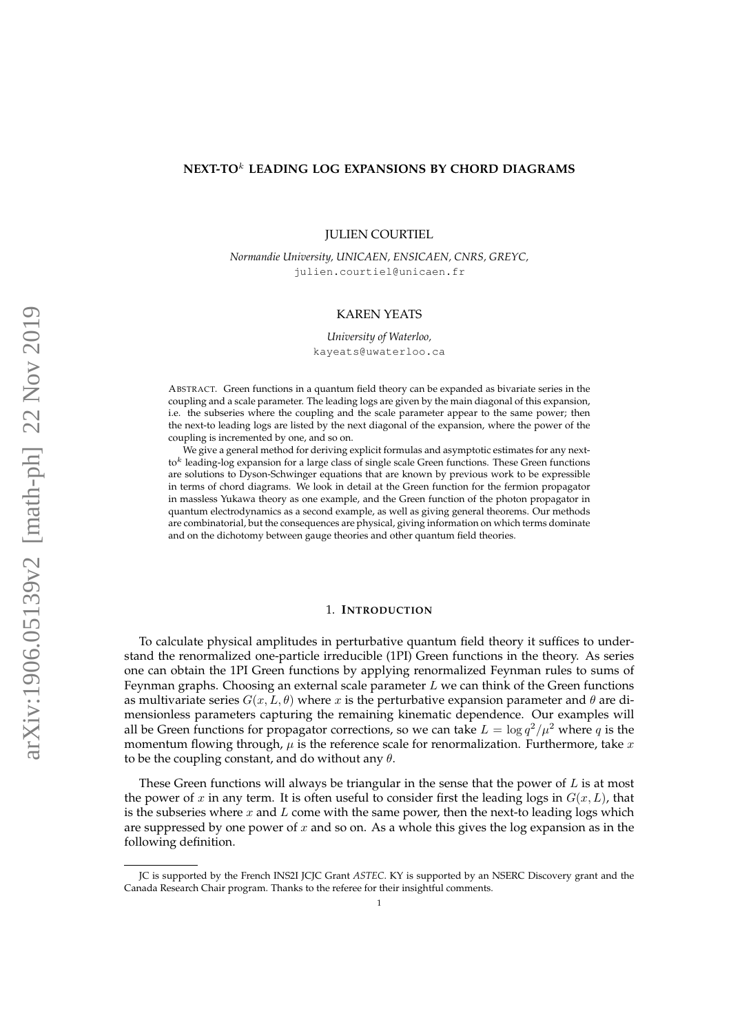# **NEXT-TO**<sup>k</sup> **LEADING LOG EXPANSIONS BY CHORD DIAGRAMS**

JULIEN COURTIEL

*Normandie University, UNICAEN, ENSICAEN, CNRS, GREYC,* julien.courtiel@unicaen.fr

# KAREN YEATS

*University of Waterloo,*

kayeats@uwaterloo.ca

ABSTRACT. Green functions in a quantum field theory can be expanded as bivariate series in the coupling and a scale parameter. The leading logs are given by the main diagonal of this expansion, i.e. the subseries where the coupling and the scale parameter appear to the same power; then the next-to leading logs are listed by the next diagonal of the expansion, where the power of the coupling is incremented by one, and so on.

We give a general method for deriving explicit formulas and asymptotic estimates for any next- $\text{to}^k$  leading-log expansion for a large class of single scale Green functions. These Green functions are solutions to Dyson-Schwinger equations that are known by previous work to be expressible in terms of chord diagrams. We look in detail at the Green function for the fermion propagator in massless Yukawa theory as one example, and the Green function of the photon propagator in quantum electrodynamics as a second example, as well as giving general theorems. Our methods are combinatorial, but the consequences are physical, giving information on which terms dominate and on the dichotomy between gauge theories and other quantum field theories.

### 1. **INTRODUCTION**

To calculate physical amplitudes in perturbative quantum field theory it suffices to understand the renormalized one-particle irreducible (1PI) Green functions in the theory. As series one can obtain the 1PI Green functions by applying renormalized Feynman rules to sums of Feynman graphs. Choosing an external scale parameter  $L$  we can think of the Green functions as multivariate series  $G(x, L, \theta)$  where x is the perturbative expansion parameter and  $\theta$  are dimensionless parameters capturing the remaining kinematic dependence. Our examples will all be Green functions for propagator corrections, so we can take  $L = \log q^2 / \mu^2$  where q is the momentum flowing through,  $\mu$  is the reference scale for renormalization. Furthermore, take x to be the coupling constant, and do without any  $\theta$ .

These Green functions will always be triangular in the sense that the power of  $L$  is at most the power of x in any term. It is often useful to consider first the leading logs in  $G(x, L)$ , that is the subseries where  $x$  and  $L$  come with the same power, then the next-to leading logs which are suppressed by one power of  $x$  and so on. As a whole this gives the log expansion as in the following definition.

JC is supported by the French INS2I JCJC Grant *ASTEC*. KY is supported by an NSERC Discovery grant and the Canada Research Chair program. Thanks to the referee for their insightful comments.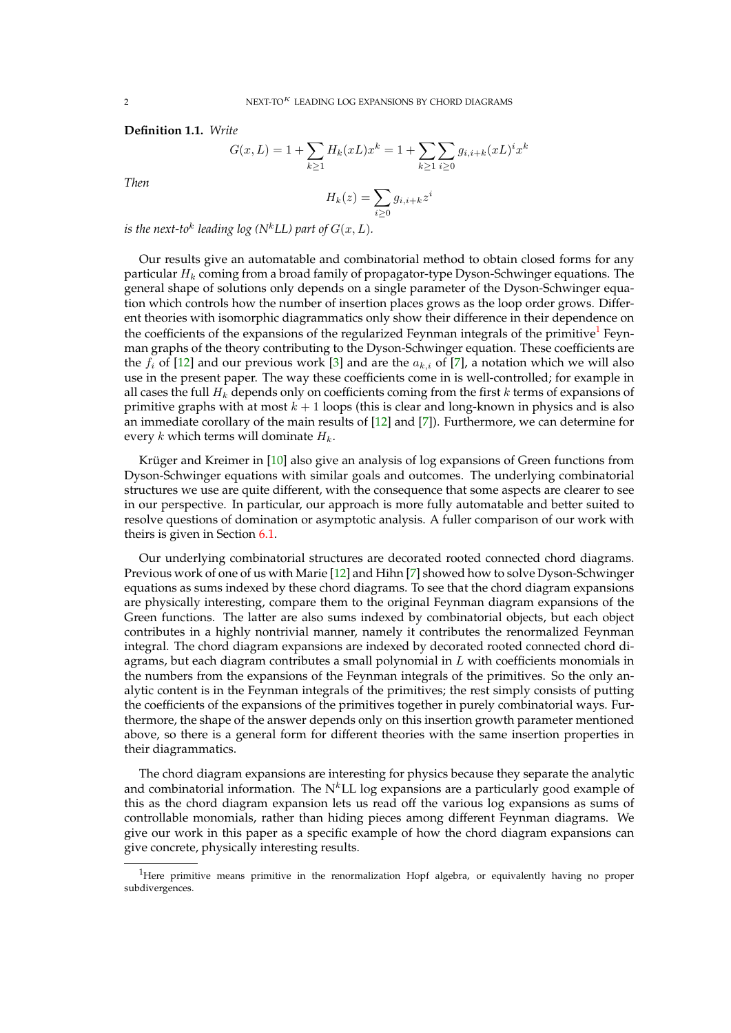**Definition 1.1.** *Write*

*Then*

$$
H_k(z) = \sum_{i \ge 0} g_{i,i+k} z^i
$$

 $H_k(xL)x^k=1+\sum$ 

 $k\geq 1$ 

 $\sum$  $i \geq 0$ 

 $g_{i,i+k}(xL)^i x^k$ 

*is the next-to* $^k$  *leading log (N* $^k$ *LL) part of*  $G(x, L)$ *.* 

 $G(x,L) = 1 + \sum$ 

 $k\geq 1$ 

Our results give an automatable and combinatorial method to obtain closed forms for any particular  $H_k$  coming from a broad family of propagator-type Dyson-Schwinger equations. The general shape of solutions only depends on a single parameter of the Dyson-Schwinger equation which controls how the number of insertion places grows as the loop order grows. Different theories with isomorphic diagrammatics only show their difference in their dependence on the coefficients of the expansions of the regularized Feynman integrals of the primitive<sup>[1](#page-1-0)</sup> Feynman graphs of the theory contributing to the Dyson-Schwinger equation. These coefficients are the  $f_i$  of [\[12\]](#page-29-0) and our previous work [\[3\]](#page-29-1) and are the  $a_{k,i}$  of [\[7\]](#page-29-2), a notation which we will also use in the present paper. The way these coefficients come in is well-controlled; for example in all cases the full  $H_k$  depends only on coefficients coming from the first k terms of expansions of primitive graphs with at most  $k + 1$  loops (this is clear and long-known in physics and is also an immediate corollary of the main results of [\[12\]](#page-29-0) and [\[7\]](#page-29-2)). Furthermore, we can determine for every k which terms will dominate  $H_k$ .

Krüger and Kreimer in [\[10\]](#page-29-3) also give an analysis of log expansions of Green functions from Dyson-Schwinger equations with similar goals and outcomes. The underlying combinatorial structures we use are quite different, with the consequence that some aspects are clearer to see in our perspective. In particular, our approach is more fully automatable and better suited to resolve questions of domination or asymptotic analysis. A fuller comparison of our work with theirs is given in Section [6.1.](#page-25-0)

Our underlying combinatorial structures are decorated rooted connected chord diagrams. Previous work of one of us with Marie [\[12\]](#page-29-0) and Hihn [\[7\]](#page-29-2) showed how to solve Dyson-Schwinger equations as sums indexed by these chord diagrams. To see that the chord diagram expansions are physically interesting, compare them to the original Feynman diagram expansions of the Green functions. The latter are also sums indexed by combinatorial objects, but each object contributes in a highly nontrivial manner, namely it contributes the renormalized Feynman integral. The chord diagram expansions are indexed by decorated rooted connected chord diagrams, but each diagram contributes a small polynomial in  $L$  with coefficients monomials in the numbers from the expansions of the Feynman integrals of the primitives. So the only analytic content is in the Feynman integrals of the primitives; the rest simply consists of putting the coefficients of the expansions of the primitives together in purely combinatorial ways. Furthermore, the shape of the answer depends only on this insertion growth parameter mentioned above, so there is a general form for different theories with the same insertion properties in their diagrammatics.

The chord diagram expansions are interesting for physics because they separate the analytic and combinatorial information. The  $N^kLL$  log expansions are a particularly good example of this as the chord diagram expansion lets us read off the various log expansions as sums of controllable monomials, rather than hiding pieces among different Feynman diagrams. We give our work in this paper as a specific example of how the chord diagram expansions can give concrete, physically interesting results.

<span id="page-1-0"></span><sup>&</sup>lt;sup>1</sup>Here primitive means primitive in the renormalization Hopf algebra, or equivalently having no proper subdivergences.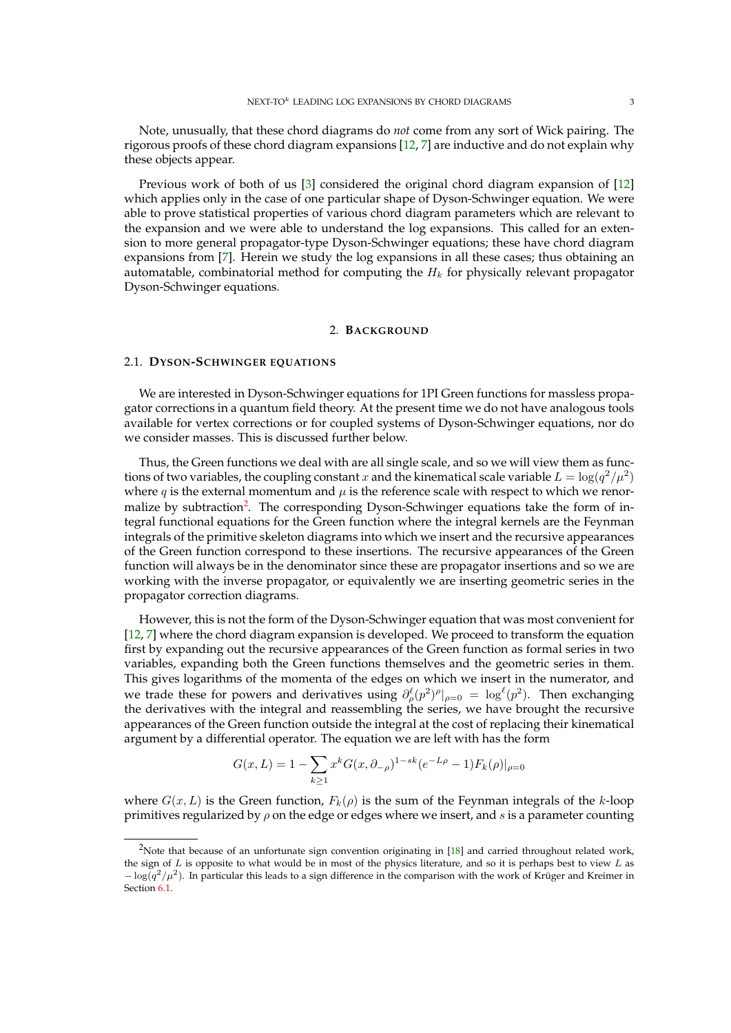Note, unusually, that these chord diagrams do *not* come from any sort of Wick pairing. The rigorous proofs of these chord diagram expansions [\[12,](#page-29-0) [7\]](#page-29-2) are inductive and do not explain why these objects appear.

Previous work of both of us [\[3\]](#page-29-1) considered the original chord diagram expansion of [\[12\]](#page-29-0) which applies only in the case of one particular shape of Dyson-Schwinger equation. We were able to prove statistical properties of various chord diagram parameters which are relevant to the expansion and we were able to understand the log expansions. This called for an extension to more general propagator-type Dyson-Schwinger equations; these have chord diagram expansions from [\[7\]](#page-29-2). Herein we study the log expansions in all these cases; thus obtaining an automatable, combinatorial method for computing the  $H_k$  for physically relevant propagator Dyson-Schwinger equations.

#### 2. **BACKGROUND**

#### 2.1. **DYSON-SCHWINGER EQUATIONS**

We are interested in Dyson-Schwinger equations for 1PI Green functions for massless propagator corrections in a quantum field theory. At the present time we do not have analogous tools available for vertex corrections or for coupled systems of Dyson-Schwinger equations, nor do we consider masses. This is discussed further below.

Thus, the Green functions we deal with are all single scale, and so we will view them as functions of two variables, the coupling constant x and the kinematical scale variable  $L = \log(q^2/\mu^2)$ where q is the external momentum and  $\mu$  is the reference scale with respect to which we renor-malize by subtraction<sup>[2](#page-2-0)</sup>. The corresponding Dyson-Schwinger equations take the form of integral functional equations for the Green function where the integral kernels are the Feynman integrals of the primitive skeleton diagrams into which we insert and the recursive appearances of the Green function correspond to these insertions. The recursive appearances of the Green function will always be in the denominator since these are propagator insertions and so we are working with the inverse propagator, or equivalently we are inserting geometric series in the propagator correction diagrams.

However, this is not the form of the Dyson-Schwinger equation that was most convenient for [\[12,](#page-29-0) [7\]](#page-29-2) where the chord diagram expansion is developed. We proceed to transform the equation first by expanding out the recursive appearances of the Green function as formal series in two variables, expanding both the Green functions themselves and the geometric series in them. This gives logarithms of the momenta of the edges on which we insert in the numerator, and we trade these for powers and derivatives using  $\partial_{\rho}^{\ell}(p^2)^{\rho}|_{\rho=0} = \log^{\ell}(p^2)$ . Then exchanging the derivatives with the integral and reassembling the series, we have brought the recursive appearances of the Green function outside the integral at the cost of replacing their kinematical argument by a differential operator. The equation we are left with has the form

$$
G(x, L) = 1 - \sum_{k \ge 1} x^k G(x, \partial_{-\rho})^{1 - sk} (e^{-L\rho} - 1) F_k(\rho)|_{\rho = 0}
$$

where  $G(x, L)$  is the Green function,  $F_k(\rho)$  is the sum of the Feynman integrals of the k-loop primitives regularized by  $\rho$  on the edge or edges where we insert, and s is a parameter counting

<span id="page-2-0"></span> $2$ Note that because of an unfortunate sign convention originating in [\[18\]](#page-30-0) and carried throughout related work, the sign of  $L$  is opposite to what would be in most of the physics literature, and so it is perhaps best to view  $L$  as  $-\log(q^2/\mu^2)$ . In particular this leads to a sign difference in the comparison with the work of Krüger and Kreimer in Section [6.1.](#page-25-0)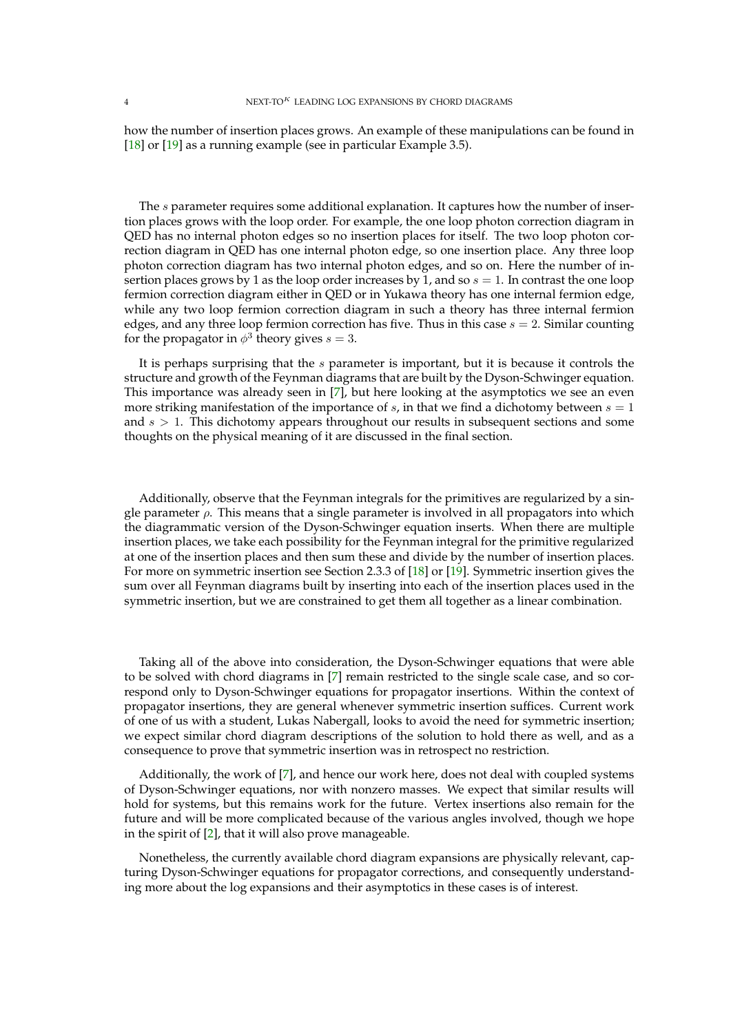how the number of insertion places grows. An example of these manipulations can be found in [\[18\]](#page-30-0) or [\[19\]](#page-30-1) as a running example (see in particular Example 3.5).

The  $s$  parameter requires some additional explanation. It captures how the number of insertion places grows with the loop order. For example, the one loop photon correction diagram in QED has no internal photon edges so no insertion places for itself. The two loop photon correction diagram in QED has one internal photon edge, so one insertion place. Any three loop photon correction diagram has two internal photon edges, and so on. Here the number of insertion places grows by 1 as the loop order increases by 1, and so  $s = 1$ . In contrast the one loop fermion correction diagram either in QED or in Yukawa theory has one internal fermion edge, while any two loop fermion correction diagram in such a theory has three internal fermion edges, and any three loop fermion correction has five. Thus in this case  $s = 2$ . Similar counting for the propagator in  $\phi^3$  theory gives  $s=3$ .

It is perhaps surprising that the  $s$  parameter is important, but it is because it controls the structure and growth of the Feynman diagrams that are built by the Dyson-Schwinger equation. This importance was already seen in [\[7\]](#page-29-2), but here looking at the asymptotics we see an even more striking manifestation of the importance of s, in that we find a dichotomy between  $s = 1$ and  $s > 1$ . This dichotomy appears throughout our results in subsequent sections and some thoughts on the physical meaning of it are discussed in the final section.

Additionally, observe that the Feynman integrals for the primitives are regularized by a single parameter  $\rho$ . This means that a single parameter is involved in all propagators into which the diagrammatic version of the Dyson-Schwinger equation inserts. When there are multiple insertion places, we take each possibility for the Feynman integral for the primitive regularized at one of the insertion places and then sum these and divide by the number of insertion places. For more on symmetric insertion see Section 2.3.3 of [\[18\]](#page-30-0) or [\[19\]](#page-30-1). Symmetric insertion gives the sum over all Feynman diagrams built by inserting into each of the insertion places used in the symmetric insertion, but we are constrained to get them all together as a linear combination.

Taking all of the above into consideration, the Dyson-Schwinger equations that were able to be solved with chord diagrams in [\[7\]](#page-29-2) remain restricted to the single scale case, and so correspond only to Dyson-Schwinger equations for propagator insertions. Within the context of propagator insertions, they are general whenever symmetric insertion suffices. Current work of one of us with a student, Lukas Nabergall, looks to avoid the need for symmetric insertion; we expect similar chord diagram descriptions of the solution to hold there as well, and as a consequence to prove that symmetric insertion was in retrospect no restriction.

Additionally, the work of [\[7\]](#page-29-2), and hence our work here, does not deal with coupled systems of Dyson-Schwinger equations, nor with nonzero masses. We expect that similar results will hold for systems, but this remains work for the future. Vertex insertions also remain for the future and will be more complicated because of the various angles involved, though we hope in the spirit of [\[2\]](#page-29-4), that it will also prove manageable.

Nonetheless, the currently available chord diagram expansions are physically relevant, capturing Dyson-Schwinger equations for propagator corrections, and consequently understanding more about the log expansions and their asymptotics in these cases is of interest.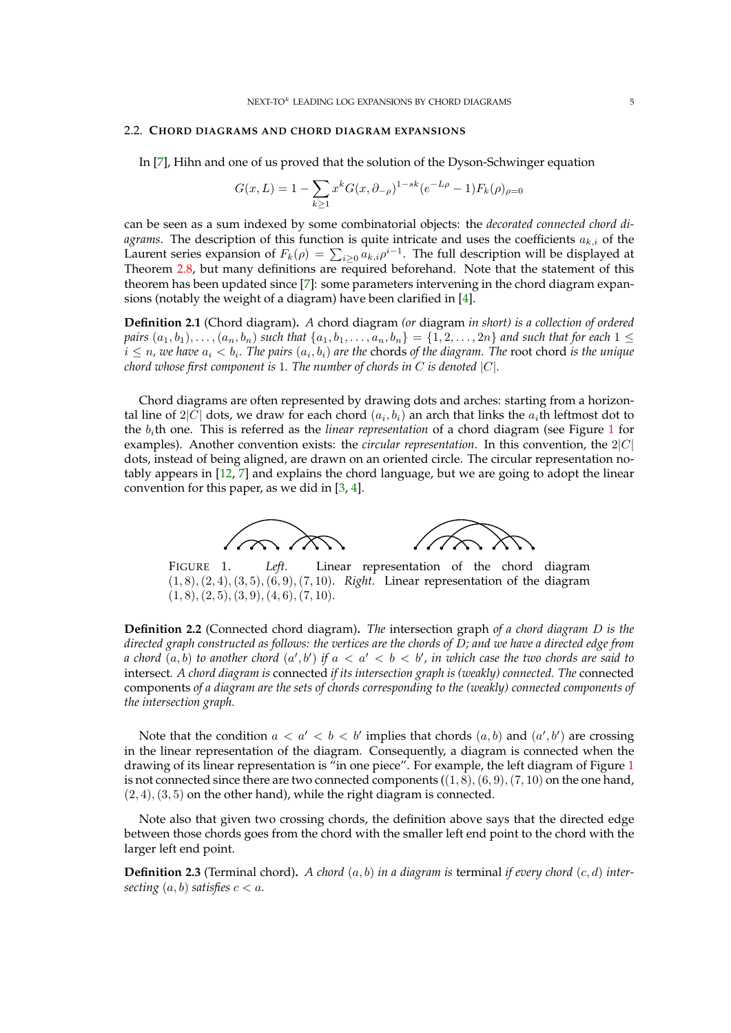#### 2.2. **CHORD DIAGRAMS AND CHORD DIAGRAM EXPANSIONS**

In [\[7\]](#page-29-2), Hihn and one of us proved that the solution of the Dyson-Schwinger equation

$$
G(x, L) = 1 - \sum_{k \ge 1} x^k G(x, \partial_{-\rho})^{1 - sk} (e^{-L\rho} - 1) F_k(\rho)_{\rho = 0}
$$

can be seen as a sum indexed by some combinatorial objects: the *decorated connected chord diagrams*. The description of this function is quite intricate and uses the coefficients  $a_{k,i}$  of the Laurent series expansion of  $F_k(\rho) = \sum_{i \geq 0} a_{k,i} \rho^{i-1}$ . The full description will be displayed at Theorem [2.8,](#page-6-0) but many definitions are required beforehand. Note that the statement of this theorem has been updated since [\[7\]](#page-29-2): some parameters intervening in the chord diagram expansions (notably the weight of a diagram) have been clarified in [\[4\]](#page-29-5).

**Definition 2.1** (Chord diagram)**.** *A* chord diagram *(or* diagram *in short) is a collection of ordered pairs*  $(a_1, b_1), \ldots, (a_n, b_n)$  *such that*  $\{a_1, b_1, \ldots, a_n, b_n\} = \{1, 2, \ldots, 2n\}$  *and such that for each*  $1 \leq$  $i \leq n$ , we have  $a_i < b_i$ . The pairs  $(a_i, b_i)$  are the chords of the diagram. The root chord is the unique *chord whose first component is* 1*. The number of chords in* C *is denoted* |C|*.*

Chord diagrams are often represented by drawing dots and arches: starting from a horizontal line of  $2|C|$  dots, we draw for each chord  $(a_i,b_i)$  an arch that links the  $a_i$ th leftmost dot to the bith one. This is referred as the *linear representation* of a chord diagram (see Figure [1](#page-4-0) for examples). Another convention exists: the *circular representation*. In this convention, the  $2|C|$ dots, instead of being aligned, are drawn on an oriented circle. The circular representation no-tably appears in [\[12,](#page-29-0) [7\]](#page-29-2) and explains the chord language, but we are going to adopt the linear convention for this paper, as we did in [\[3,](#page-29-1) [4\]](#page-29-5).

<span id="page-4-0"></span>

FIGURE 1. *Left.* Linear representation of the chord diagram (1, 8),(2, 4),(3, 5),(6, 9),(7, 10). *Right.* Linear representation of the diagram  $(1, 8), (2, 5), (3, 9), (4, 6), (7, 10).$ 

**Definition 2.2** (Connected chord diagram)**.** *The* intersection graph *of a chord diagram* D *is the directed graph constructed as follows: the vertices are the chords of* D*; and we have a directed edge from a* chord  $(a, b)$  to another chord  $(a', b')$  if  $a < a' < b < b'$ , in which case the two chords are said to intersect*. A chord diagram is* connected *if its intersection graph is (weakly) connected. The* connected components *of a diagram are the sets of chords corresponding to the (weakly) connected components of the intersection graph.*

Note that the condition  $a < a' < b < b'$  implies that chords  $(a, b)$  and  $(a', b')$  are crossing in the linear representation of the diagram. Consequently, a diagram is connected when the drawing of its linear representation is "in one piece". For example, the left diagram of Figure [1](#page-4-0) is not connected since there are two connected components  $((1, 8), (6, 9), (7, 10)$  on the one hand,  $(2, 4), (3, 5)$  on the other hand), while the right diagram is connected.

Note also that given two crossing chords, the definition above says that the directed edge between those chords goes from the chord with the smaller left end point to the chord with the larger left end point.

<span id="page-4-1"></span>**Definition 2.3** (Terminal chord). A chord  $(a, b)$  in a diagram is terminal if every chord  $(c, d)$  inter*secting*  $(a, b)$  *satisfies*  $c < a$ *.*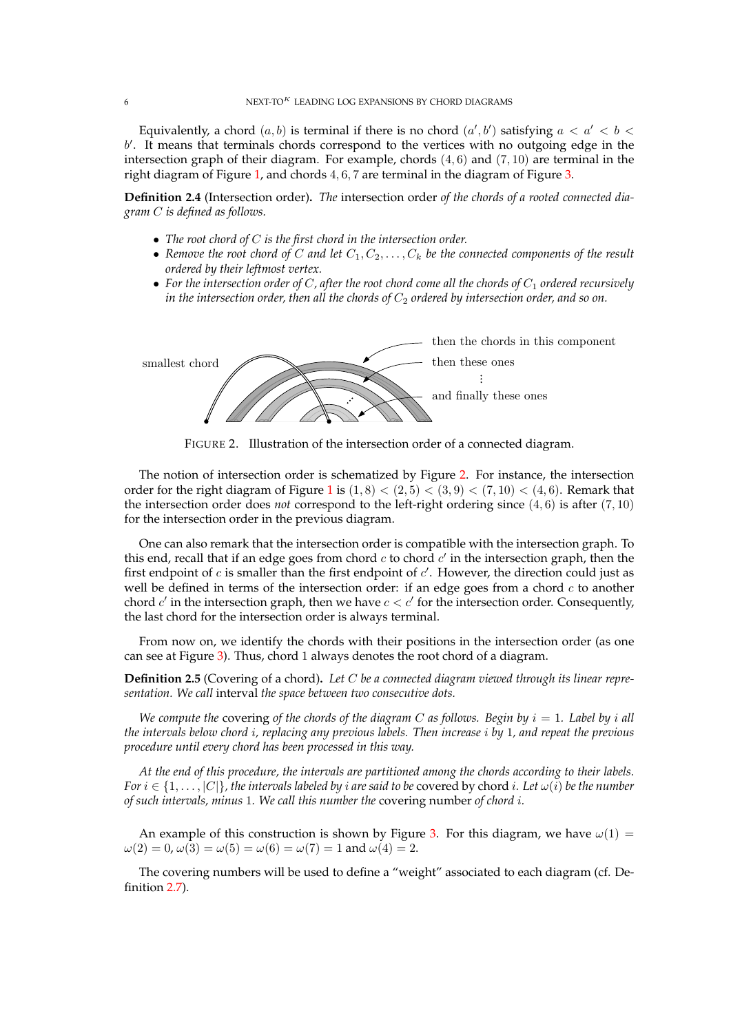Equivalently, a chord  $(a, b)$  is terminal if there is no chord  $(a', b')$  satisfying  $a < a' < b <$ b'. It means that terminals chords correspond to the vertices with no outgoing edge in the intersection graph of their diagram. For example, chords  $(4, 6)$  and  $(7, 10)$  are terminal in the right diagram of Figure [1,](#page-4-0) and chords 4, 6, 7 are terminal in the diagram of Figure [3.](#page-6-1)

<span id="page-5-2"></span>**Definition 2.4** (Intersection order)**.** *The* intersection order *of the chords of a rooted connected diagram* C *is defined as follows.*

- *The root chord of* C *is the first chord in the intersection order.*
- Remove the root chord of C and let  $C_1, C_2, \ldots, C_k$  be the connected components of the result *ordered by their leftmost vertex.*
- For the intersection order of  $C$ , after the root chord come all the chords of  $C_1$  ordered recursively *in the intersection order, then all the chords of*  $C_2$  *ordered by intersection order, and so on.*



<span id="page-5-0"></span>FIGURE 2. Illustration of the intersection order of a connected diagram.

The notion of intersection order is schematized by Figure [2.](#page-5-0) For instance, the intersection order for the right diagram of Figure [1](#page-4-0) is  $(1, 8) < (2, 5) < (3, 9) < (7, 10) < (4, 6)$ . Remark that the intersection order does *not* correspond to the left-right ordering since  $(4, 6)$  is after  $(7, 10)$ for the intersection order in the previous diagram.

One can also remark that the intersection order is compatible with the intersection graph. To this end, recall that if an edge goes from chord  $c$  to chord  $c'$  in the intersection graph, then the first endpoint of  $c$  is smaller than the first endpoint of  $c'$ . However, the direction could just as well be defined in terms of the intersection order: if an edge goes from a chord  $c$  to another chord  $c'$  in the intersection graph, then we have  $c < c'$  for the intersection order. Consequently, the last chord for the intersection order is always terminal.

From now on, we identify the chords with their positions in the intersection order (as one can see at Figure [3\)](#page-6-1). Thus, chord 1 always denotes the root chord of a diagram.

<span id="page-5-1"></span>**Definition 2.5** (Covering of a chord)**.** *Let* C *be a connected diagram viewed through its linear representation. We call* interval *the space between two consecutive dots.*

*We compute the* covering *of the chords of the diagram C as follows. Begin by*  $i = 1$ *. Label by*  $i$  *all the intervals below chord* i*, replacing any previous labels. Then increase* i *by* 1*, and repeat the previous procedure until every chord has been processed in this way.*

*At the end of this procedure, the intervals are partitioned among the chords according to their labels. For*  $i \in \{1, \ldots, |C|\}$ , the intervals labeled by *i* are said to be covered by chord *i*. Let  $\omega(i)$  be the number *of such intervals, minus* 1*. We call this number the* covering number *of chord* i*.*

An example of this construction is shown by Figure [3.](#page-6-1) For this diagram, we have  $\omega(1)$  =  $\omega(2) = 0, \omega(3) = \omega(5) = \omega(6) = \omega(7) = 1$  and  $\omega(4) = 2$ .

<span id="page-5-3"></span>The covering numbers will be used to define a "weight" associated to each diagram (cf. Definition [2.7\)](#page-6-2).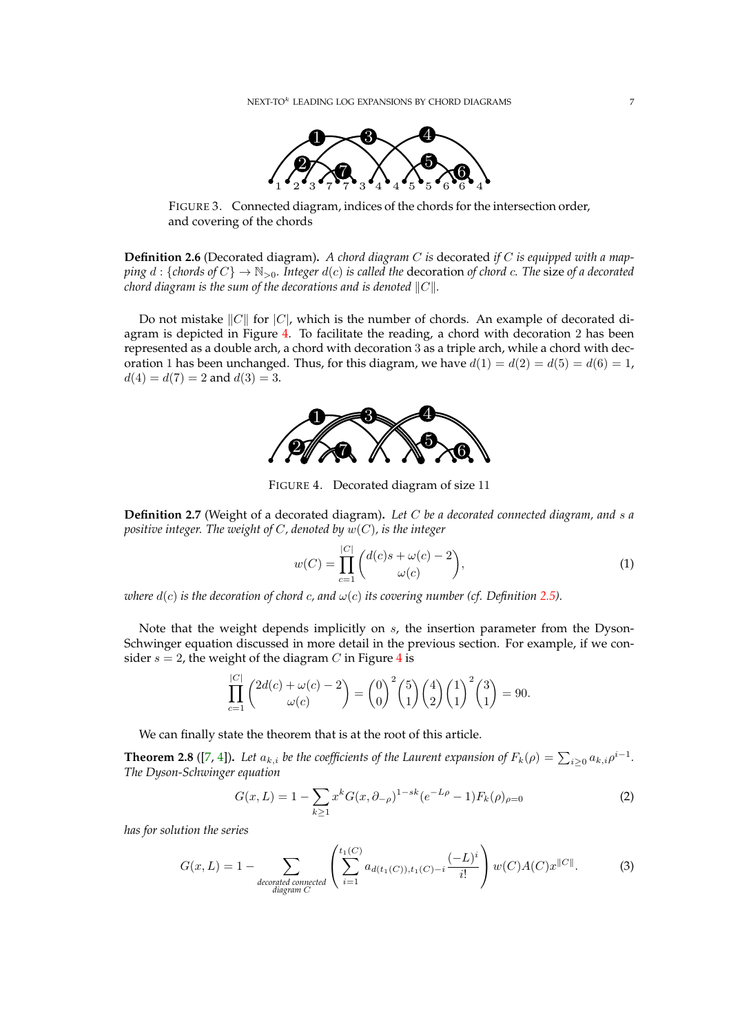

<span id="page-6-1"></span>FIGURE 3. Connected diagram, indices of the chords for the intersection order, and covering of the chords

**Definition 2.6** (Decorated diagram)**.** *A chord diagram* C *is* decorated *if* C *is equipped with a mapping*  $d : \{\text{chords of } C\} \to \mathbb{N}_{>0}$ *. Integer*  $d(c)$  *is called the* decoration *of chord* c. The size *of* a decorated *chord diagram is the sum of the decorations and is denoted*  $||C||$ *.* 

Do not mistake  $||C||$  for  $||C||$ , which is the number of chords. An example of decorated diagram is depicted in Figure [4.](#page-6-3) To facilitate the reading, a chord with decoration 2 has been represented as a double arch, a chord with decoration 3 as a triple arch, while a chord with decoration 1 has been unchanged. Thus, for this diagram, we have  $d(1) = d(2) = d(5) = d(6) = 1$ ,  $d(4) = d(7) = 2$  and  $d(3) = 3$ .



<span id="page-6-3"></span>FIGURE 4. Decorated diagram of size 11

**Definition 2.7** (Weight of a decorated diagram)**.** *Let* C *be a decorated connected diagram, and* s *a positive integer. The weight of* C*, denoted by* w(C)*, is the integer*

<span id="page-6-2"></span>
$$
w(C) = \prod_{c=1}^{|C|} {d(c)s + \omega(c) - 2 \choose \omega(c)},
$$
\n(1)

*where*  $d(c)$  *is the decoration of chord c, and*  $\omega(c)$  *its covering number (cf. Definition [2.5\)](#page-5-1).* 

Note that the weight depends implicitly on  $s$ , the insertion parameter from the Dyson-Schwinger equation discussed in more detail in the previous section. For example, if we consider  $s = 2$ , the weight of the diagram C in Figure [4](#page-6-3) is

$$
\prod_{c=1}^{|C|} \binom{2d(c) + \omega(c) - 2}{\omega(c)} = \binom{0}{0}^2 \binom{5}{1} \binom{4}{2} \binom{1}{1}^2 \binom{3}{1} = 90.
$$

We can finally state the theorem that is at the root of this article.

<span id="page-6-0"></span>**Theorem 2.8** ([\[7,](#page-29-2) [4\]](#page-29-5)). Let  $a_{k,i}$  be the coefficients of the Laurent expansion of  $F_k(\rho) = \sum_{i\geq 0} a_{k,i} \rho^{i-1}$ . *The Dyson-Schwinger equation*

<span id="page-6-5"></span>
$$
G(x,L) = 1 - \sum_{k \ge 1} x^k G(x, \partial_{-\rho})^{1-sk} (e^{-L\rho} - 1) F_k(\rho)_{\rho=0}
$$
 (2)

*has for solution the series*

<span id="page-6-4"></span>
$$
G(x, L) = 1 - \sum_{\substack{\text{decorated connected} \\ \text{diagram } C}} \left( \sum_{i=1}^{t_1(C)} a_{d(t_1(C)), t_1(C) - i} \frac{(-L)^i}{i!} \right) w(C) A(C) x^{\|C\|}. \tag{3}
$$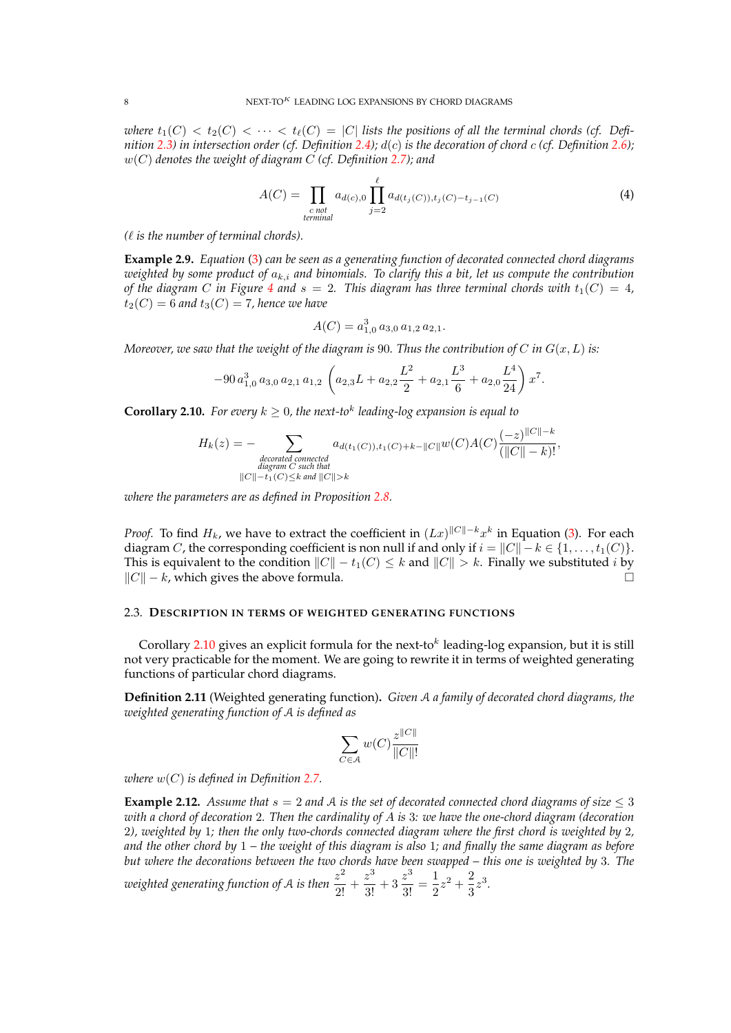where  $t_1(C) < t_2(C) < \cdots < t_\ell(C) = |C|$  lists the positions of all the terminal chords (cf. Defi*nition [2.3\)](#page-4-1) in intersection order (cf. Definition [2.4\)](#page-5-2);* d(c) *is the decoration of chord* c *(cf. Definition [2.6\)](#page-5-3);* w(C) *denotes the weight of diagram* C *(cf. Definition [2.7\)](#page-6-2); and*

$$
A(C) = \prod_{\substack{c \text{ not} \\ terminal}} a_{d(c),0} \prod_{j=2}^{\ell} a_{d(t_j(C)),t_j(C)-t_{j-1}(C)}
$$
(4)

 $(\ell$  *is the number of terminal chords*).

**Example 2.9.** *Equation* [\(3\)](#page-6-4) *can be seen as a generating function of decorated connected chord diagrams weighted by some product of* ak,i *and binomials. To clarify this a bit, let us compute the contribution of the diagram* C in Figure [4](#page-6-3) and  $s = 2$ . This diagram has three terminal chords with  $t_1(C) = 4$ ,  $t_2(C) = 6$  and  $t_3(C) = 7$ , hence we have

$$
A(C) = a_{1,0}^3 a_{3,0} a_{1,2} a_{2,1}.
$$

*Moreover, we saw that the weight of the diagram is* 90*. Thus the contribution of*  $C$  *in*  $G(x, L)$  *is:* 

$$
-90 a_{1,0}^3 a_{3,0} a_{2,1} a_{1,2} \left( a_{2,3}L + a_{2,2} \frac{L^2}{2} + a_{2,1} \frac{L^3}{6} + a_{2,0} \frac{L^4}{24} \right) x^7.
$$

<span id="page-7-0"></span>**Corollary 2.10.** For every  $k \geq 0$ , the next-to<sup>k</sup> leading-log expansion is equal to

$$
H_k(z) = - \sum_{\substack{decorated \text{ connected} \\ \text{diagram } C \text{ such that} \\ ||C|| - t_1(C) \le k \text{ and } ||C|| > k}} a_{d(t_1(C)), t_1(C) + k - ||C||} w(C) A(C) \frac{(-z)^{||C|| - k}}{(||C|| - k)!},
$$

*where the parameters are as defined in Proposition [2.8.](#page-6-0)*

*Proof.* To find  $H_k$ , we have to extract the coefficient in  $(Lx)^{||C||-k}x^k$  in Equation [\(3\)](#page-6-4). For each diagram *C*, the corresponding coefficient is non null if and only if  $i = ||C|| - k \in \{1, ..., t_1(C)\}.$ This is equivalent to the condition  $||C|| - t_1(C) \le k$  and  $||C|| > k$ . Finally we substituted *i* by  $||C|| - k$ , which gives the above formula.

#### 2.3. **DESCRIPTION IN TERMS OF WEIGHTED GENERATING FUNCTIONS**

Corollary [2.10](#page-7-0) gives an explicit formula for the next-to<sup> $k$ </sup> leading-log expansion, but it is still not very practicable for the moment. We are going to rewrite it in terms of weighted generating functions of particular chord diagrams.

**Definition 2.11** (Weighted generating function)**.** *Given* A *a family of decorated chord diagrams, the weighted generating function of* A *is defined as*

$$
\sum_{C \in \mathcal{A}} w(C) \frac{z^{\|C\|}}{\|C\|!}
$$

*where* w(C) *is defined in Definition [2.7.](#page-6-2)*

**Example 2.12.** *Assume that*  $s = 2$  *and*  $\overline{A}$  *is the set of decorated connected chord diagrams of size*  $\leq 3$ *with a chord of decoration* 2*. Then the cardinality of* A *is* 3*: we have the one-chord diagram (decoration* 2*), weighted by* 1*; then the only two-chords connected diagram where the first chord is weighted by* 2*, and the other chord by* 1 *– the weight of this diagram is also* 1*; and finally the same diagram as before but where the decorations between the two chords have been swapped – this one is weighted by* 3*. The*

weighted generating function of A is then  $\frac{z^2}{2!}$  $rac{z^2}{2!} + \frac{z^3}{3!}$  $rac{z^3}{3!}+3\frac{z^3}{3!}$  $rac{z^3}{3!} = \frac{1}{2}$  $\frac{1}{2}z^2 + \frac{2}{3}$  $\frac{2}{3}z^3$ .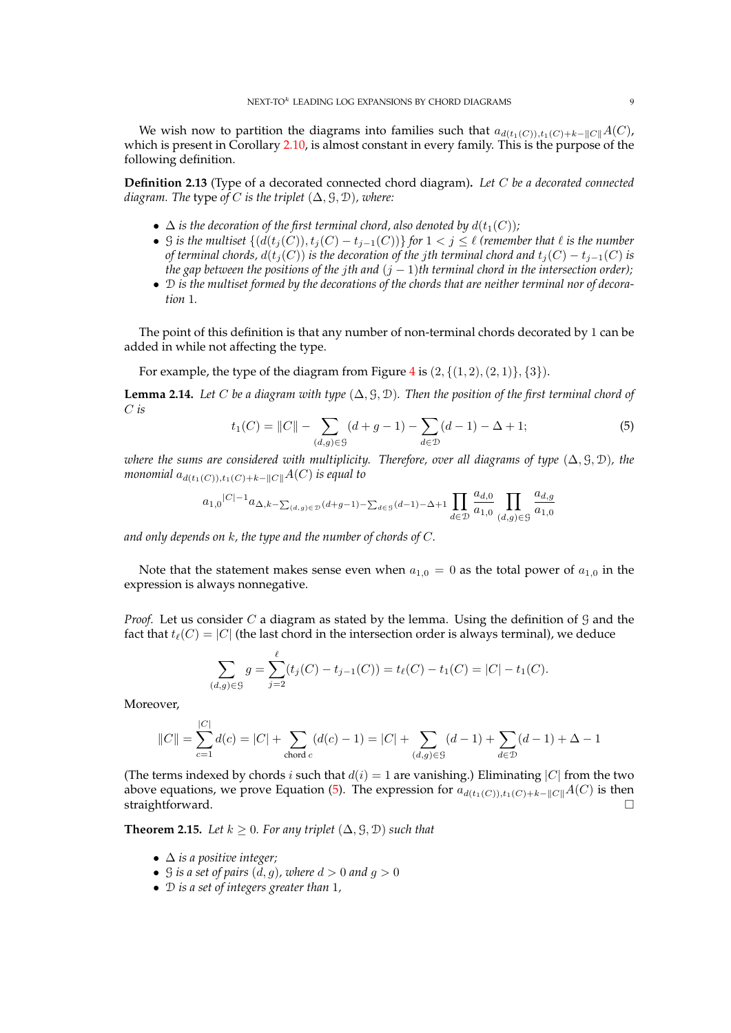We wish now to partition the diagrams into families such that  $a_{d(t_1(C)),t_1(C)+k-||C||}A(C)$ , which is present in Corollary [2.10,](#page-7-0) is almost constant in every family. This is the purpose of the following definition.

**Definition 2.13** (Type of a decorated connected chord diagram)**.** *Let* C *be a decorated connected diagram. The type of*  $C$  *is the triplet*  $(\Delta, \mathcal{G}, \mathcal{D})$ *, where:* 

- $\Delta$  *is the decoration of the first terminal chord, also denoted by*  $d(t_1(C))$ *;*
- G is the multiset  $\{(d(t_i(C)), t_i(C) t_{i-1}(C))\}$  for  $1 < j \leq \ell$  (remember that  $\ell$  is the number *of terminal chords,*  $d(t_j(C))$  *is the decoration of the jth terminal chord and*  $t_j(C) - t_{j-1}(C)$  *is the gap between the positions of the jth and*  $(j - 1)$ *th terminal chord in the intersection order);*
- D *is the multiset formed by the decorations of the chords that are neither terminal nor of decoration* 1*.*

The point of this definition is that any number of non-terminal chords decorated by 1 can be added in while not affecting the type.

For example, the type of the diagram from Figure [4](#page-6-3) is  $(2, \{(1, 2), (2, 1)\}, \{3\})$ .

**Lemma 2.14.** *Let* C *be a diagram with type* (∆, G, D)*. Then the position of the first terminal chord of* C *is*

<span id="page-8-0"></span>
$$
t_1(C) = ||C|| - \sum_{(d,g)\in\mathcal{G}} (d+g-1) - \sum_{d\in\mathcal{D}} (d-1) - \Delta + 1; \tag{5}
$$

*where the sums are considered with multiplicity. Therefore, over all diagrams of type* (∆, G, D)*, the monomial*  $a_{d(t_1(C)),t_1(C)+k-||C||}A(C)$  *is equal to* 

$$
a_{1,0}|^{C|-1}a_{\Delta,k-\sum_{(d,g)\in\mathcal{D}}(d+g-1)-\sum_{d\in\mathcal{G}}(d-1)-\Delta+1}\prod_{d\in\mathcal{D}}\frac{a_{d,0}}{a_{1,0}}\prod_{(d,g)\in\mathcal{G}}\frac{a_{d,g}}{a_{1,0}}
$$

*and only depends on* k*, the type and the number of chords of* C*.*

Note that the statement makes sense even when  $a_{1,0} = 0$  as the total power of  $a_{1,0}$  in the expression is always nonnegative.

*Proof.* Let us consider  $C$  a diagram as stated by the lemma. Using the definition of  $G$  and the fact that  $t_{\ell}(C) = |C|$  (the last chord in the intersection order is always terminal), we deduce

$$
\sum_{(d,g)\in\mathcal{G}} g = \sum_{j=2}^{\ell} (t_j(C) - t_{j-1}(C)) = t_{\ell}(C) - t_1(C) = |C| - t_1(C).
$$

Moreover,

$$
||C|| = \sum_{c=1}^{|C|} d(c) = |C| + \sum_{\text{chord } c} (d(c) - 1) = |C| + \sum_{(d,g) \in \mathcal{G}} (d-1) + \sum_{d \in \mathcal{D}} (d-1) + \Delta - 1
$$

(The terms indexed by chords i such that  $d(i) = 1$  are vanishing.) Eliminating |C| from the two above equations, we prove Equation [\(5\)](#page-8-0). The expression for  $a_{d(t_1(C)),t_1(C)+k-||C||}A(C)$  is then straightforward.

<span id="page-8-1"></span>**Theorem 2.15.** *Let*  $k > 0$ *. For any triplet*  $(\Delta, \mathcal{G}, \mathcal{D})$  *such that* 

• ∆ *is a positive integer;*

 $|C|$ 

- $G$  *is a set of pairs*  $(d, g)$ *, where*  $d > 0$  *and*  $g > 0$
- D *is a set of integers greater than* 1*,*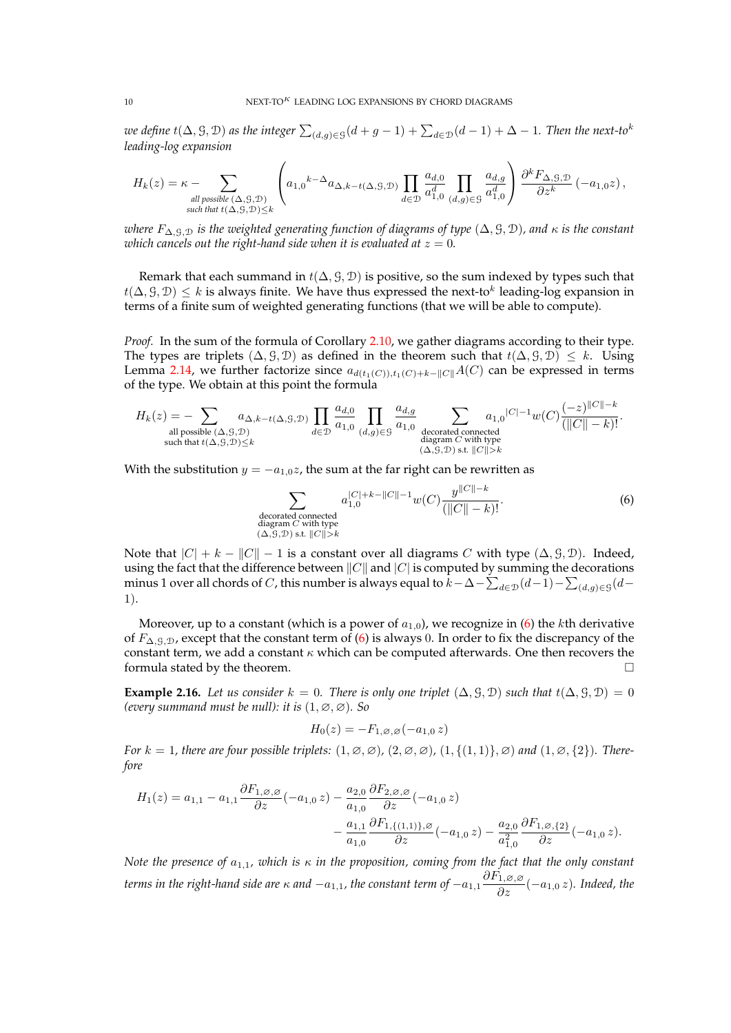we define t( $\Delta,$   $\mathcal{G},$   $\mathcal{D})$  as the integer  $\sum_{(d,g)\in \mathcal{G}}(d+g-1)+\sum_{d\in \mathcal{D}}(d-1)+\Delta-1.$  Then the next-to<sup>k</sup> *leading-log expansion*

$$
H_k(z) = \kappa - \sum_{\substack{all \text{ possible } (\Delta, \mathcal{G}, \mathcal{D}) \\ \text{such that } t(\Delta, \mathcal{G}, \mathcal{D}) \leq k}} \left( a_{1,0} k - \Delta a_{\Delta, k-t(\Delta, \mathcal{G}, \mathcal{D})} \prod_{d \in \mathcal{D}} \frac{a_{d,0}}{a_{1,0}^d} \prod_{(d,g) \in \mathcal{G}} \frac{a_{d,g}}{a_{1,0}^d} \right) \frac{\partial^k F_{\Delta, \mathcal{G}, \mathcal{D}}}{\partial z^k} \left( -a_{1,0} z \right),
$$

*where*  $F_{\Delta,\mathcal{G},\mathcal{D}}$  *is the weighted generating function of diagrams of type* (Δ, G, D)*, and* κ *is the constant which cancels out the right-hand side when it is evaluated at*  $z = 0$ *.* 

Remark that each summand in  $t(\Delta, \mathcal{G}, \mathcal{D})$  is positive, so the sum indexed by types such that  $t(\Delta, \mathcal{G}, \mathcal{D}) \leq k$  is always finite. We have thus expressed the next-to<sup>k</sup> leading-log expansion in terms of a finite sum of weighted generating functions (that we will be able to compute).

*Proof.* In the sum of the formula of Corollary [2.10,](#page-7-0) we gather diagrams according to their type. The types are triplets  $(\Delta, \mathcal{G}, \mathcal{D})$  as defined in the theorem such that  $t(\Delta, \mathcal{G}, \mathcal{D}) \leq k$ . Using Lemma [2.14,](#page-8-0) we further factorize since  $a_{d(t_1(C)),t_1(C)+k-||C||}A(C)$  can be expressed in terms of the type. We obtain at this point the formula

$$
H_k(z) = -\sum_{\substack{\text{all possible } (\Delta, \mathcal{G}, \mathcal{D}) \\ \text{such that } t(\Delta, \mathcal{G}, \mathcal{D}) \le k}} a_{\Delta, k-t(\Delta, \mathcal{G}, \mathcal{D})} \prod_{d \in \mathcal{D}} \frac{a_{d,0}}{a_{1,0}} \prod_{(d,g) \in \mathcal{G}} \frac{a_{d,g}}{a_{1,0}} \sum_{\substack{\text{decorated connected} \\ \text{diagram } C \text{ with type} \\ (\Delta, \mathcal{G}, \mathcal{D}) \text{ s.t. } ||C|| > k}} a_{1,0}^{|C| - 1} w(C) \frac{(-z)^{||C|| - k}}{(||C|| - k)!}.
$$

With the substitution  $y = -a_{1,0}z$ , the sum at the far right can be rewritten as

<span id="page-9-0"></span>
$$
\sum_{\substack{\text{decorated connected} \\ \text{diagram } C \text{ with type} \\ (\Delta, \mathcal{G}, \mathcal{D}) \text{ s.t. } ||C|| > k}} a_{1,0}^{|C|+k-||C||-1} w(C) \frac{y^{||C||-k}}{(||C||-k)!}.
$$
 (6)

Note that  $|C| + k - ||C|| - 1$  is a constant over all diagrams C with type  $(\Delta, \mathcal{G}, \mathcal{D})$ . Indeed, using the fact that the difference between  $||C||$  and  $|C|$  is computed by summing the decorations minus 1 over all chords of  $C$ , this number is always equal to  $k-\Delta-\sum_{d\in\mathcal{D}}(d-1)-\sum_{(d,g)\in\mathcal{G}}(d-1)$ 1).

Moreover, up to a constant (which is a power of  $a_{1,0}$ ), we recognize in [\(6\)](#page-9-0) the kth derivative of  $F_{\Delta,\mathcal{G},\mathcal{D}}$ , except that the constant term of [\(6\)](#page-9-0) is always 0. In order to fix the discrepancy of the constant term, we add a constant  $\kappa$  which can be computed afterwards. One then recovers the formula stated by the theorem.

<span id="page-9-1"></span>**Example 2.16.** *Let us consider*  $k = 0$ *. There is only one triplet*  $(\Delta, \mathcal{G}, \mathcal{D})$  *such that*  $t(\Delta, \mathcal{G}, \mathcal{D}) = 0$ *(every summand must be null): it is*  $(1, \emptyset, \emptyset)$ *. So* 

$$
H_0(z) = -F_{1,\varnothing,\varnothing}(-a_{1,0} z)
$$

*For*  $k = 1$ *, there are four possible triplets:*  $(1, \emptyset, \emptyset)$ ,  $(2, \emptyset, \emptyset)$ ,  $(1, \{1, 1\}, \emptyset)$  *and*  $(1, \emptyset, \{2\})$ *. Therefore*

$$
H_1(z) = a_{1,1} - a_{1,1} \frac{\partial F_{1,\emptyset,\emptyset}}{\partial z}(-a_{1,0} z) - \frac{a_{2,0}}{a_{1,0}} \frac{\partial F_{2,\emptyset,\emptyset}}{\partial z}(-a_{1,0} z) - \frac{a_{1,1}}{a_{1,0}} \frac{\partial F_{1,\{(1,1)\},\emptyset}}{\partial z}(-a_{1,0} z) - \frac{a_{2,0}}{a_{1,0}^2} \frac{\partial F_{1,\emptyset,\{2\}}}{\partial z}(-a_{1,0} z).
$$

*Note the presence of*  $a_{1,1}$ , which is κ in the proposition, coming from the fact that the only constant *terms in the right-hand side are*  $\kappa$  *and*  $-a_{1,1}$ , *the constant term of*  $-a_{1,1}\frac{\partial F_{1,\varnothing,\varnothing}}{\partial z}(-a_{1,0}\,z)$ *. Indeed, the*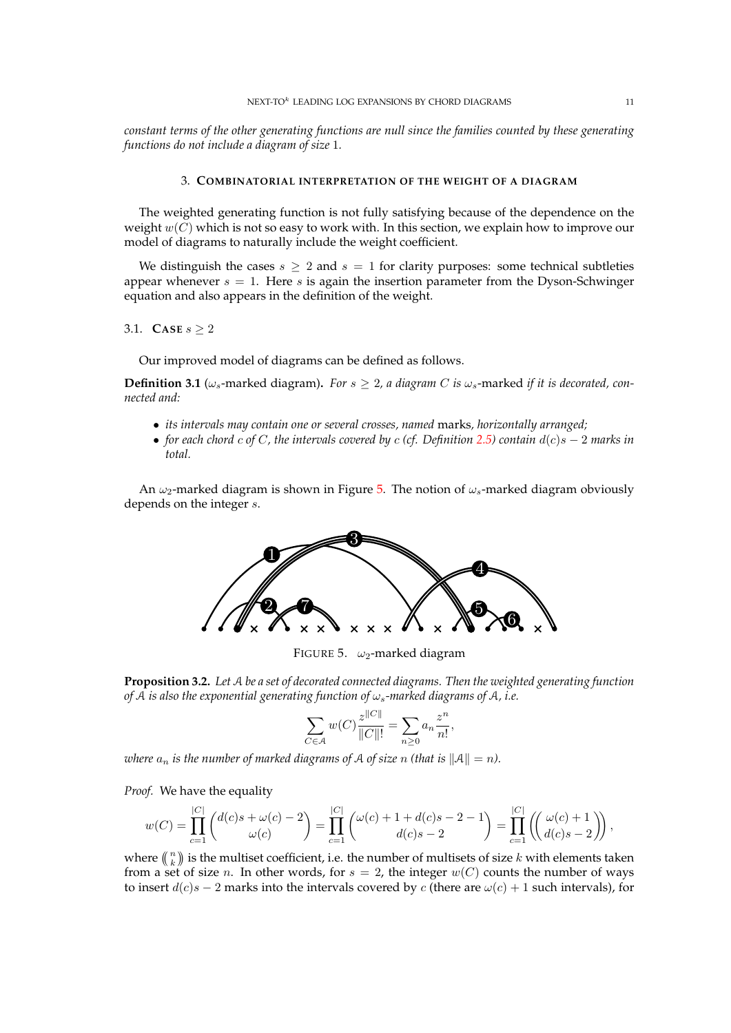*constant terms of the other generating functions are null since the families counted by these generating functions do not include a diagram of size* 1*.*

# 3. **COMBINATORIAL INTERPRETATION OF THE WEIGHT OF A DIAGRAM**

The weighted generating function is not fully satisfying because of the dependence on the weight  $w(C)$  which is not so easy to work with. In this section, we explain how to improve our model of diagrams to naturally include the weight coefficient.

We distinguish the cases  $s \geq 2$  and  $s = 1$  for clarity purposes: some technical subtleties appear whenever  $s = 1$ . Here s is again the insertion parameter from the Dyson-Schwinger equation and also appears in the definition of the weight.

3.1. **CASE**  $s \geq 2$ 

Our improved model of diagrams can be defined as follows.

**Definition 3.1** ( $\omega_s$ -marked diagram). For  $s \geq 2$ , a diagram C is  $\omega_s$ -marked if it is decorated, con*nected and:*

- *its intervals may contain one or several crosses, named* marks*, horizontally arranged;*
- *for each chord* c *of* C*, the intervals covered by* c *(cf. Definition [2.5\)](#page-5-1) contain* d(c)s − 2 *marks in total.*

An  $\omega_2$ -marked diagram is shown in Figure [5.](#page-10-0) The notion of  $\omega_s$ -marked diagram obviously depends on the integer s.



<span id="page-10-0"></span>FIGURE 5.  $\omega_2$ -marked diagram

<span id="page-10-1"></span>**Proposition 3.2.** *Let* A *be a set of decorated connected diagrams. Then the weighted generating function of A is also the exponential generating function of*  $\omega_s$ -marked diagrams of *A*, *i.e.* 

$$
\sum_{C \in \mathcal{A}} w(C) \frac{z^{\|C\|}}{\|C\|!} = \sum_{n \ge 0} a_n \frac{z^n}{n!},
$$

*where*  $a_n$  *is the number of marked diagrams of* A *of size n (that is*  $||A|| = n$ *).* 

*Proof.* We have the equality

$$
w(C) = \prod_{c=1}^{|C|} {d(c)s + \omega(c) - 2 \choose \omega(c)} = \prod_{c=1}^{|C|} {(\omega(c) + 1 + d(c)s - 2 - 1) \choose d(c)s - 2} = \prod_{c=1}^{|C|} {(\omega(c) + 1 \choose d(c)s - 2)},
$$

where  $\binom{n}{k}$  is the multiset coefficient, i.e. the number of multisets of size k with elements taken from a set of size *n*. In other words, for  $s = 2$ , the integer  $w(C)$  counts the number of ways to insert  $d(c)s - 2$  marks into the intervals covered by c (there are  $\omega(c) + 1$  such intervals), for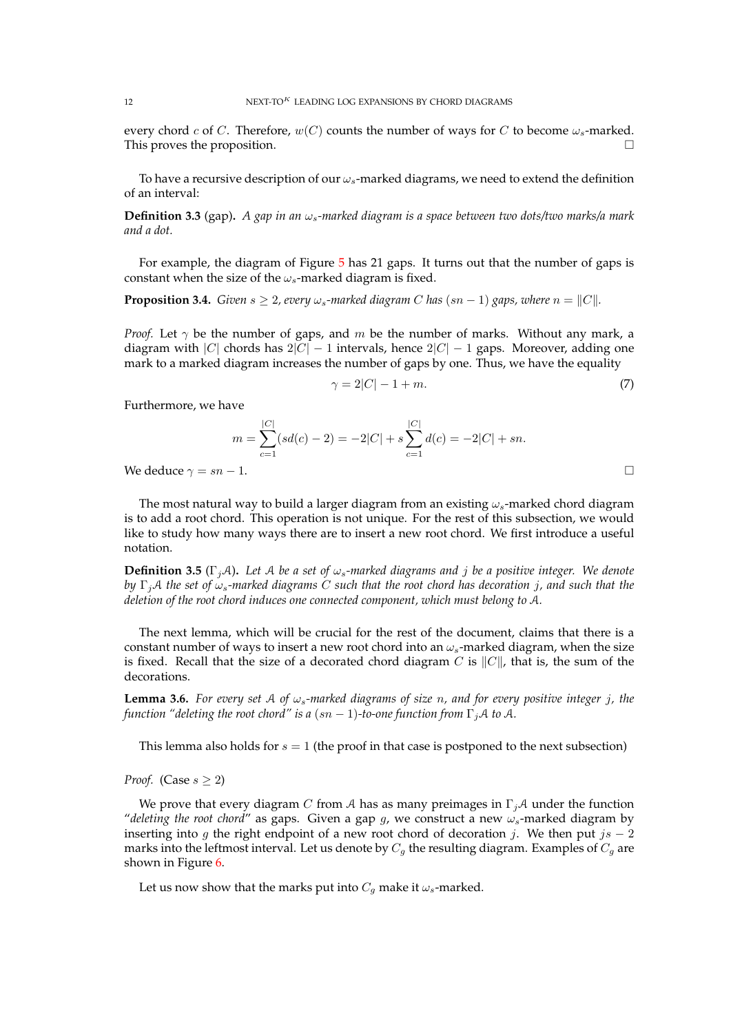every chord c of C. Therefore,  $w(C)$  counts the number of ways for C to become  $\omega_s$ -marked. This proves the proposition.

To have a recursive description of our  $\omega_s$ -marked diagrams, we need to extend the definition of an interval:

**Definition 3.3** (gap). *A gap in an*  $\omega_s$ -marked diagram is a space between two dots/two marks/a mark *and a dot.*

For example, the diagram of Figure [5](#page-10-0) has 21 gaps. It turns out that the number of gaps is constant when the size of the  $\omega_s$ -marked diagram is fixed.

<span id="page-11-0"></span>**Proposition 3.4.** *Given*  $s \geq 2$ *, every*  $\omega_s$ -marked diagram C has  $(sn - 1)$  gaps, where  $n = ||C||$ *.* 

*Proof.* Let  $\gamma$  be the number of gaps, and m be the number of marks. Without any mark, a diagram with |C| chords has  $2|C| - 1$  intervals, hence  $2|C| - 1$  gaps. Moreover, adding one mark to a marked diagram increases the number of gaps by one. Thus, we have the equality

<span id="page-11-2"></span>
$$
\gamma = 2|C| - 1 + m.\tag{7}
$$

Furthermore, we have

$$
m = \sum_{c=1}^{|C|} (sd(c) - 2) = -2|C| + s \sum_{c=1}^{|C|} d(c) = -2|C| + sn.
$$
  
We deduce  $\gamma = sn - 1$ .

The most natural way to build a larger diagram from an existing  $\omega_s$ -marked chord diagram is to add a root chord. This operation is not unique. For the rest of this subsection, we would like to study how many ways there are to insert a new root chord. We first introduce a useful notation.

<span id="page-11-3"></span>**Definition 3.5** (Γ<sub>j</sub>A). Let A be a set of  $\omega_s$ -marked diagrams and j be a positive integer. We denote *by* ΓjA *the set of* ωs*-marked diagrams* C *such that the root chord has decoration* j*, and such that the deletion of the root chord induces one connected component, which must belong to* A*.*

The next lemma, which will be crucial for the rest of the document, claims that there is a constant number of ways to insert a new root chord into an  $\omega_s$ -marked diagram, when the size is fixed. Recall that the size of a decorated chord diagram C is  $||C||$ , that is, the sum of the decorations.

<span id="page-11-1"></span>**Lemma 3.6.** For every set A of  $\omega_s$ -marked diagrams of size n, and for every positive integer j, the *function "deleting the root chord" is a*  $(sn - 1)$ -to-one function from  $\Gamma_i A$  to A.

This lemma also holds for  $s = 1$  (the proof in that case is postponed to the next subsection)

*Proof.* (Case  $s \geq 2$ )

We prove that every diagram C from A has as many preimages in  $\Gamma_i \mathcal{A}$  under the function "deleting the root chord" as gaps. Given a gap  $g$ , we construct a new  $\omega_s$ -marked diagram by inserting into g the right endpoint of a new root chord of decoration j. We then put  $js - 2$ marks into the leftmost interval. Let us denote by  $C_g$  the resulting diagram. Examples of  $C_g$  are shown in Figure [6.](#page-12-0)

Let us now show that the marks put into  $C_q$  make it  $\omega_s$ -marked.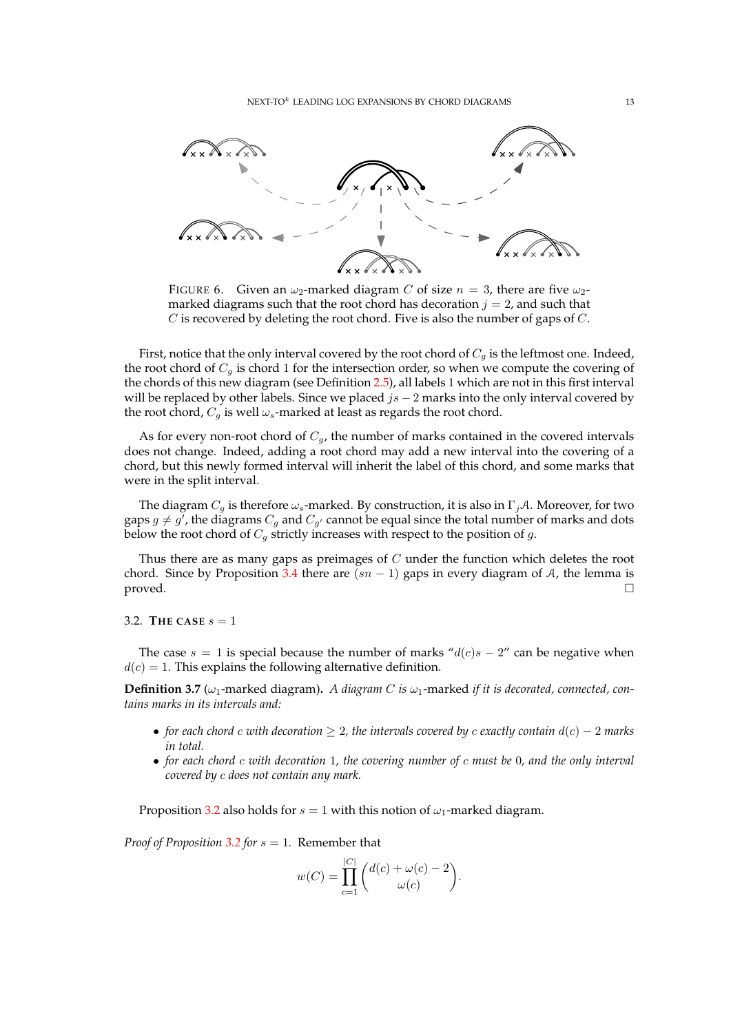

<span id="page-12-0"></span>FIGURE 6. Given an  $\omega_2$ -marked diagram C of size  $n = 3$ , there are five  $\omega_2$ marked diagrams such that the root chord has decoration  $j = 2$ , and such that  $C$  is recovered by deleting the root chord. Five is also the number of gaps of  $C$ .

First, notice that the only interval covered by the root chord of  $C_g$  is the leftmost one. Indeed, the root chord of  $C_g$  is chord 1 for the intersection order, so when we compute the covering of the chords of this new diagram (see Definition [2.5\)](#page-5-1), all labels 1 which are not in this first interval will be replaced by other labels. Since we placed  $js - 2$  marks into the only interval covered by the root chord,  $C_g$  is well  $\omega_s$ -marked at least as regards the root chord.

As for every non-root chord of  $C_g$ , the number of marks contained in the covered intervals does not change. Indeed, adding a root chord may add a new interval into the covering of a chord, but this newly formed interval will inherit the label of this chord, and some marks that were in the split interval.

The diagram  $C_g$  is therefore  $\omega_s$ -marked. By construction, it is also in  $\Gamma_j A$ . Moreover, for two gaps  $g \neq g'$ , the diagrams  $C_g$  and  $C_{g'}$  cannot be equal since the total number of marks and dots below the root chord of  $C_q$  strictly increases with respect to the position of g.

Thus there are as many gaps as preimages of C under the function which deletes the root chord. Since by Proposition [3.4](#page-11-0) there are  $(sn - 1)$  gaps in every diagram of A, the lemma is proved.  $\Box$ 

3.2. THE CASE  $s = 1$ 

The case  $s = 1$  is special because the number of marks "d(c)s – 2" can be negative when  $d(c) = 1$ . This explains the following alternative definition.

**Definition 3.7** ( $\omega_1$ -marked diagram). A diagram C is  $\omega_1$ -marked if it is decorated, connected, con*tains marks in its intervals and:*

- *for each chord* c *with decoration* ≥ 2*, the intervals covered by* c *exactly contain* d(c) − 2 *marks in total.*
- *for each chord* c *with decoration* 1*, the covering number of* c *must be* 0*, and the only interval covered by* c *does not contain any mark.*

Proposition [3.2](#page-10-1) also holds for  $s = 1$  with this notion of  $\omega_1$ -marked diagram.

*Proof of Proposition* [3.2](#page-10-1) *for*  $s = 1$ *.* Remember that

$$
w(C) = \prod_{c=1}^{|C|} {d(c) + \omega(c) - 2 \choose \omega(c)}.
$$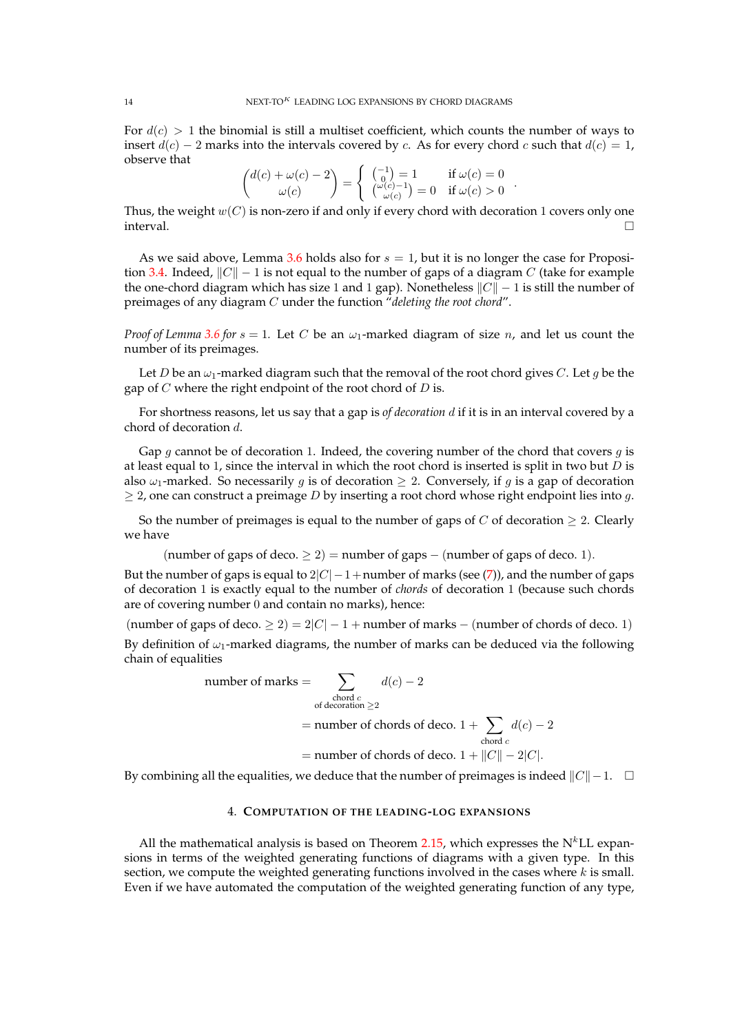For  $d(c) > 1$  the binomial is still a multiset coefficient, which counts the number of ways to insert  $d(c) - 2$  marks into the intervals covered by c. As for every chord c such that  $d(c) = 1$ , observe that

$$
\begin{pmatrix} d(c) + \omega(c) - 2 \\ \omega(c) \end{pmatrix} = \begin{cases} \begin{pmatrix} -1 \\ 0 \end{pmatrix} = 1 & \text{if } \omega(c) = 0 \\ \begin{pmatrix} \omega(c) - 1 \\ \omega(c) \end{pmatrix} = 0 & \text{if } \omega(c) > 0 \end{cases}
$$

.

Thus, the weight  $w(C)$  is non-zero if and only if every chord with decoration 1 covers only one interval.

As we said above, Lemma [3.6](#page-11-1) holds also for  $s = 1$ , but it is no longer the case for Proposi-tion [3.4.](#page-11-0) Indeed,  $||C|| - 1$  is not equal to the number of gaps of a diagram C (take for example the one-chord diagram which has size 1 and 1 gap). Nonetheless  $||C||$  − 1 is still the number of preimages of any diagram C under the function "*deleting the root chord*".

*Proof of Lemma* [3.6](#page-11-1) *for*  $s = 1$ . Let C be an  $\omega_1$ -marked diagram of size n, and let us count the number of its preimages.

Let D be an  $\omega_1$ -marked diagram such that the removal of the root chord gives C. Let q be the gap of  $C$  where the right endpoint of the root chord of  $D$  is.

For shortness reasons, let us say that a gap is *of decoration* d if it is in an interval covered by a chord of decoration d.

Gap q cannot be of decoration 1. Indeed, the covering number of the chord that covers q is at least equal to 1, since the interval in which the root chord is inserted is split in two but  $D$  is also  $\omega_1$ -marked. So necessarily g is of decoration  $\geq 2$ . Conversely, if g is a gap of decoration  $\geq$  2, one can construct a preimage D by inserting a root chord whose right endpoint lies into g.

So the number of preimages is equal to the number of gaps of  $C$  of decoration  $\geq 2$ . Clearly we have

(number of gaps of deco.  $\geq$  2) = number of gaps – (number of gaps of deco. 1).

But the number of gaps is equal to  $2|C|-1+$ number of marks (see [\(7\)](#page-11-2)), and the number of gaps of decoration 1 is exactly equal to the number of *chords* of decoration 1 (because such chords are of covering number 0 and contain no marks), hence:

(number of gaps of deco.  $\geq 2$ ) = 2|C| − 1 + number of marks − (number of chords of deco. 1)

By definition of  $\omega_1$ -marked diagrams, the number of marks can be deduced via the following chain of equalities

number of marks 
$$
=
$$
  $\sum_{\text{chord } c \atop \text{of decoration } \ge 2}$   
 $=$  number of chords of deco.  $1 + \sum_{\text{chord } c} d(c) - 2$   
 $=$  number of chords of deco.  $1 + ||C|| - 2|C|$ .

By combining all the equalities, we deduce that the number of preimages is indeed  $||C||-1.$   $\Box$ 

# 4. **COMPUTATION OF THE LEADING-LOG EXPANSIONS**

All the mathematical analysis is based on Theorem [2.15,](#page-8-1) which expresses the  $N^kLL$  expansions in terms of the weighted generating functions of diagrams with a given type. In this section, we compute the weighted generating functions involved in the cases where  $k$  is small. Even if we have automated the computation of the weighted generating function of any type,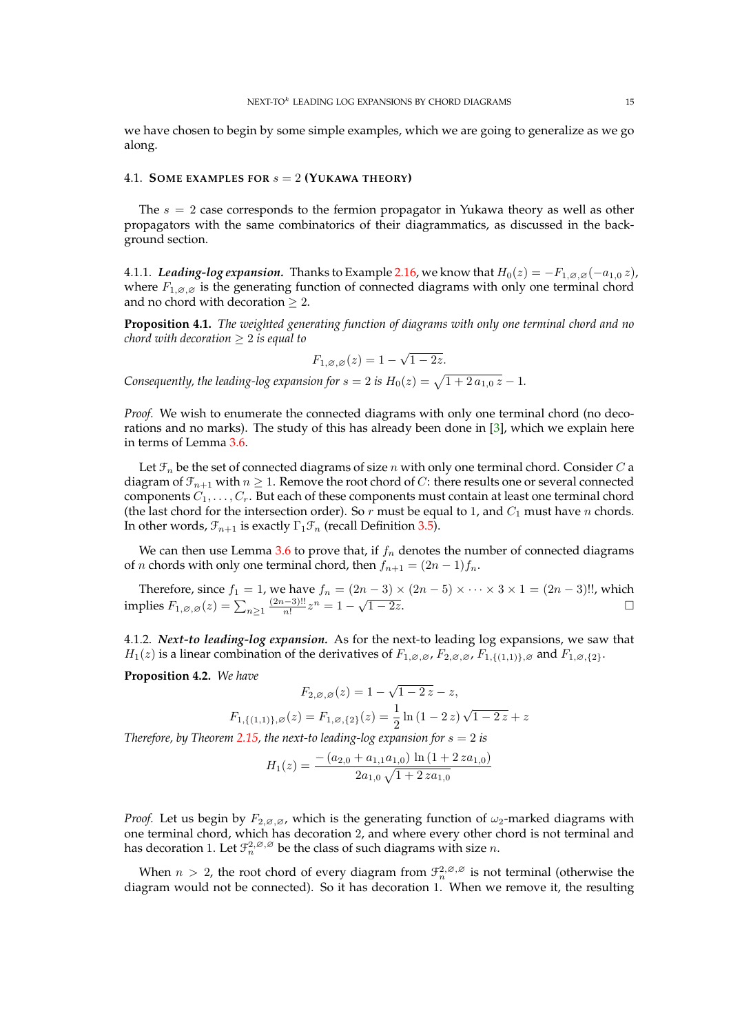we have chosen to begin by some simple examples, which we are going to generalize as we go along.

#### 4.1. **SOME EXAMPLES FOR** s = 2 **(YUKAWA THEORY)**

The  $s = 2$  case corresponds to the fermion propagator in Yukawa theory as well as other propagators with the same combinatorics of their diagrammatics, as discussed in the background section.

4.1.1. *Leading-log expansion.* Thanks to Example [2.16,](#page-9-1) we know that  $H_0(z) = -F_{1,\varnothing,\varnothing}(-a_{1,0}z)$ , where  $F_{1,\varnothing,\varnothing}$  is the generating function of connected diagrams with only one terminal chord and no chord with decoration  $\geq 2$ .

<span id="page-14-0"></span>**Proposition 4.1.** *The weighted generating function of diagrams with only one terminal chord and no chord with decoration*  $\geq 2$  *is equal to* 

$$
F_{1,\varnothing,\varnothing}(z)=1-\sqrt{1-2z}.
$$

*Consequently, the leading-log expansion for*  $s = 2$  *is*  $H_0(z) = \sqrt{1 + 2 a_{1,0} z} - 1$ *.* 

*Proof.* We wish to enumerate the connected diagrams with only one terminal chord (no decorations and no marks). The study of this has already been done in [\[3\]](#page-29-1), which we explain here in terms of Lemma [3.6.](#page-11-1)

Let  $\mathcal{F}_n$  be the set of connected diagrams of size n with only one terminal chord. Consider C a diagram of  $\mathcal{F}_{n+1}$  with  $n \geq 1$ . Remove the root chord of C: there results one or several connected components  $C_1, \ldots, C_r$ . But each of these components must contain at least one terminal chord (the last chord for the intersection order). So  $r$  must be equal to 1, and  $C_1$  must have  $n$  chords. In other words,  $\mathfrak{F}_{n+1}$  is exactly  $\Gamma_1\mathfrak{F}_n$  (recall Definition [3.5\)](#page-11-3).

We can then use Lemma [3.6](#page-11-1) to prove that, if  $f_n$  denotes the number of connected diagrams of *n* chords with only one terminal chord, then  $f_{n+1} = (2n - 1)f_n$ .

Therefore, since  $f_1 = 1$ , we have  $f_n = (2n-3) \times (2n-5) \times \cdots \times 3 \times 1 = (2n-3)!!$ , which implies  $F_{1,\varnothing,\varnothing}(z) = \sum_{n \geq 1} \frac{(2n-3)!!}{n!}$  $\frac{(-1)^n}{n!}z^n = 1 - \sqrt{1-2z}.$  <br>  $\Box$ 

4.1.2. *Next-to leading-log expansion.* As for the next-to leading log expansions, we saw that  $H_1(z)$  is a linear combination of the derivatives of  $F_{1,\emptyset,\emptyset}$ ,  $F_{2,\emptyset,\emptyset}$ ,  $F_{1,\{(1,1)\},\emptyset}$  and  $F_{1,\emptyset,\{2\}}$ .

<span id="page-14-1"></span>**Proposition 4.2.** *We have*

$$
F_{2,\varnothing,\varnothing}(z) = 1 - \sqrt{1 - 2z} - z,
$$
  

$$
F_{1,\{(1,1)\},\varnothing}(z) = F_{1,\varnothing,\{2\}}(z) = \frac{1}{2}\ln(1 - 2z)\sqrt{1 - 2z} + z
$$

*Therefore, by Theorem [2.15,](#page-8-1) the next-to leading-log expansion for*  $s = 2$  *is* 

$$
H_1(z) = \frac{- (a_{2,0} + a_{1,1}a_{1,0}) \ln (1 + 2 z a_{1,0})}{2 a_{1,0} \sqrt{1 + 2 z a_{1,0}}}
$$

*Proof.* Let us begin by  $F_{2,\emptyset,\emptyset}$ , which is the generating function of  $\omega_2$ -marked diagrams with one terminal chord, which has decoration 2, and where every other chord is not terminal and has decoration 1. Let  $\mathcal{F}_n^{2,\varnothing,\varnothing}$  be the class of such diagrams with size n.

When  $n > 2$ , the root chord of every diagram from  $\mathcal{F}_n^{2,\varnothing,\varnothing}$  is not terminal (otherwise the diagram would not be connected). So it has decoration 1. When we remove it, the resulting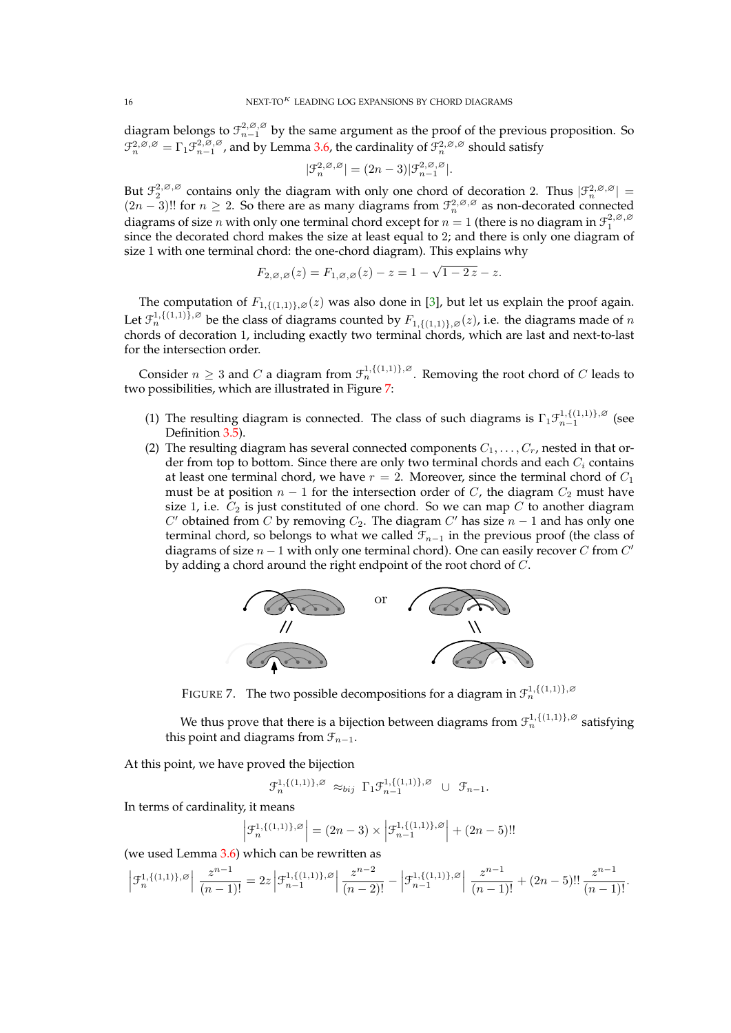diagram belongs to  $\mathcal{F}_{n-1}^{2,\varnothing,\varnothing}$  by the same argument as the proof of the previous proposition. So  $\mathcal{F}_n^{2,\varnothing,\varnothing} = \Gamma_1 \mathcal{F}_{n-1}^{2,\varnothing,\varnothing}$ , and by Lemma [3.6,](#page-11-1) the cardinality of  $\mathcal{F}_n^{2,\varnothing,\varnothing}$  should satisfy

$$
|\mathcal{F}^{2,\varnothing,\varnothing}_n|=(2n-3)|\mathcal{F}^{2,\varnothing,\varnothing}_{n-1}|.
$$

But  $\mathcal{F}_2^{2,\varnothing,\varnothing}$  contains only the diagram with only one chord of decoration 2. Thus  $|\mathcal{F}_n^{2,\varnothing,\varnothing}|=$  $(2n-3)$ !! for  $n \ge 2$ . So there are as many diagrams from  $\mathcal{F}_n^{2,\varnothing,\varnothing}$  as non-decorated connected diagrams of size *n* with only one terminal chord except for  $n = 1$  (there is no diagram in  $\mathcal{F}_1^{2,\varnothing,\varnothing}$ since the decorated chord makes the size at least equal to 2; and there is only one diagram of size 1 with one terminal chord: the one-chord diagram). This explains why √

$$
F_{2,\varnothing,\varnothing}(z) = F_{1,\varnothing,\varnothing}(z) - z = 1 - \sqrt{1 - 2z} - z.
$$

The computation of  $F_{1,\{(1,1)\},\emptyset}(z)$  was also done in [\[3\]](#page-29-1), but let us explain the proof again. Let  $\mathcal{F}_n^{1,\{(1,1)\},\emptyset}$  be the class of diagrams counted by  $F_{1,\{(1,1)\},\emptyset}(z)$ , i.e. the diagrams made of n chords of decoration 1, including exactly two terminal chords, which are last and next-to-last for the intersection order.

Consider  $n \geq 3$  and  $C$  a diagram from  $\mathcal{F}_n^{1, \{(1,1)\}, \varnothing}$ . Removing the root chord of  $C$  leads to two possibilities, which are illustrated in Figure [7:](#page-15-0)

- (1) The resulting diagram is connected. The class of such diagrams is  $\Gamma_1 \mathcal{F}_{n-1}^{1,\{(1,1)\},\varnothing}$  (see Definition [3.5\)](#page-11-3).
- (2) The resulting diagram has several connected components  $C_1, \ldots, C_r$ , nested in that order from top to bottom. Since there are only two terminal chords and each  $C_i$  contains at least one terminal chord, we have  $r = 2$ . Moreover, since the terminal chord of  $C_1$ must be at position  $n-1$  for the intersection order of C, the diagram  $C_2$  must have size 1, i.e.  $C_2$  is just constituted of one chord. So we can map  $C$  to another diagram C' obtained from C by removing  $C_2$ . The diagram C' has size  $n-1$  and has only one terminal chord, so belongs to what we called  $\mathcal{F}_{n-1}$  in the previous proof (the class of diagrams of size  $n - 1$  with only one terminal chord). One can easily recover C from  $C'$ by adding a chord around the right endpoint of the root chord of C.



<span id="page-15-0"></span>FIGURE 7. The two possible decompositions for a diagram in  $\mathcal{F}^{1,\{(1,1)\},\varnothing}_n$ 

We thus prove that there is a bijection between diagrams from  $\mathfrak{I}^{1,\{(1,1)\},\varnothing}_{n}$  satisfying this point and diagrams from  $\mathcal{F}_{n-1}$ .

At this point, we have proved the bijection

$$
\mathcal{F}^{1,\{(1,1)\},\varnothing}_{n} \ \approx_{bij} \ \Gamma_1 \mathcal{F}^{1,\{(1,1)\},\varnothing}_{n-1} \ \ \cup \ \ \mathcal{F}_{n-1}.
$$

In terms of cardinality, it means

$$
\left|\mathcal{F}_n^{1,\{(1,1)\},\varnothing}\right| = (2n-3) \times \left|\mathcal{F}_{n-1}^{1,\{(1,1)\},\varnothing}\right| + (2n-5)!!
$$

(we used Lemma [3.6\)](#page-11-1) which can be rewritten as

$$
\left|\mathcal{F}_n^{1,\{(1,1)\},\varnothing}\right| \frac{z^{n-1}}{(n-1)!} = 2z \left|\mathcal{F}_{n-1}^{1,\{(1,1)\},\varnothing}\right| \frac{z^{n-2}}{(n-2)!} - \left|\mathcal{F}_{n-1}^{1,\{(1,1)\},\varnothing}\right| \frac{z^{n-1}}{(n-1)!} + (2n-5)!! \frac{z^{n-1}}{(n-1)!}.
$$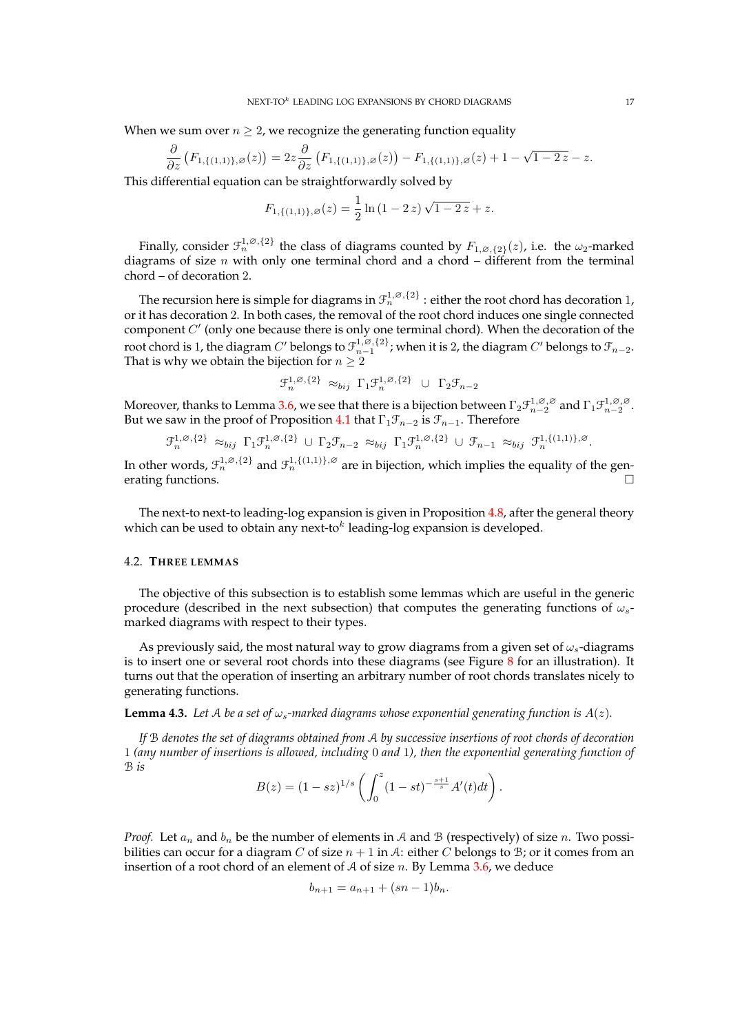When we sum over  $n \geq 2$ , we recognize the generating function equality

$$
\frac{\partial}{\partial z}\left(F_{1,\{(1,1)\},\varnothing}(z)\right)=2z\frac{\partial}{\partial z}\left(F_{1,\{(1,1)\},\varnothing}(z)\right)-F_{1,\{(1,1)\},\varnothing}(z)+1-\sqrt{1-2z}-z.
$$

This differential equation can be straightforwardly solved by

$$
F_{1,\{(1,1)\},\varnothing}(z) = \frac{1}{2}\ln(1-2z)\sqrt{1-2z} + z.
$$

Finally, consider  $\mathcal{F}_n^{1,\varnothing,\{2\}}$  the class of diagrams counted by  $F_{1,\varnothing,\{2\}}(z)$ , i.e. the  $\omega_2$ -marked diagrams of size *n* with only one terminal chord and a chord – different from the terminal chord – of decoration 2.

The recursion here is simple for diagrams in  $\mathcal{F}_n^{1,\varnothing,\{2\}}$  : either the root chord has decoration 1, or it has decoration 2. In both cases, the removal of the root chord induces one single connected component  $C'$  (only one because there is only one terminal chord). When the decoration of the root chord is 1, the diagram C' belongs to  $\mathcal{F}_{n-1}^{1,\varnothing,\{2\}}$ ; when it is 2, the diagram C' belongs to  $\mathcal{F}_{n-2}$ . That is why we obtain the bijection for  $n \geq 2$ 

$$
\mathfrak{F}^{1,\varnothing,\{2\}}_n \; \approx_{bij} \; \Gamma_1 \mathfrak{F}^{1,\varnothing,\{2\}}_n \;\cup\; \; \Gamma_2 \mathfrak{F}_{n-2}
$$

Moreover, thanks to Lemma [3.6,](#page-11-1) we see that there is a bijection between  $\Gamma_2\mathfrak{F}^{1,\varnothing,\varnothing}_{n-2}$  and  $\Gamma_1\mathfrak{F}^{1,\varnothing,\varnothing}_{n-2}.$ But we saw in the proof of Proposition [4.1](#page-14-0) that  $\Gamma_1\mathcal{F}_{n-2}$  is  $\mathcal{F}_{n-1}$ . Therefore

$$
\mathcal{F}_n^{1,\varnothing,\{2\}} \approx_{bij} \Gamma_1 \mathcal{F}_n^{1,\varnothing,\{2\}} \cup \Gamma_2 \mathcal{F}_{n-2} \approx_{bij} \Gamma_1 \mathcal{F}_n^{1,\varnothing,\{2\}} \cup \mathcal{F}_{n-1} \approx_{bij} \mathcal{F}_n^{1,\{(1,1)\},\varnothing}.
$$

In other words,  $\mathcal{F}_n^{1,\emptyset,\{2\}}$  and  $\mathcal{F}_n^{1,\{(1,1)\},\emptyset}$  are in bijection, which implies the equality of the generating functions.

The next-to next-to leading-log expansion is given in Proposition [4.8,](#page-21-0) after the general theory which can be used to obtain any next-to $^k$  leading-log expansion is developed.

### 4.2. **THREE LEMMAS**

The objective of this subsection is to establish some lemmas which are useful in the generic procedure (described in the next subsection) that computes the generating functions of  $\omega_s$ marked diagrams with respect to their types.

As previously said, the most natural way to grow diagrams from a given set of  $\omega_s$ -diagrams is to insert one or several root chords into these diagrams (see Figure  $8$  for an illustration). It turns out that the operation of inserting an arbitrary number of root chords translates nicely to generating functions.

<span id="page-16-0"></span>**Lemma 4.3.** Let A be a set of  $\omega_s$ -marked diagrams whose exponential generating function is  $A(z)$ .

*If* B *denotes the set of diagrams obtained from* A *by successive insertions of root chords of decoration* 1 *(any number of insertions is allowed, including* 0 *and* 1*), then the exponential generating function of* B *is*

$$
B(z) = (1 - sz)^{1/s} \left( \int_0^z (1 - st)^{-\frac{s+1}{s}} A'(t) dt \right).
$$

*Proof.* Let  $a_n$  and  $b_n$  be the number of elements in A and B (respectively) of size n. Two possibilities can occur for a diagram C of size  $n + 1$  in A: either C belongs to B; or it comes from an insertion of a root chord of an element of  $A$  of size  $n$ . By Lemma [3.6,](#page-11-1) we deduce

$$
b_{n+1} = a_{n+1} + (sn - 1)b_n.
$$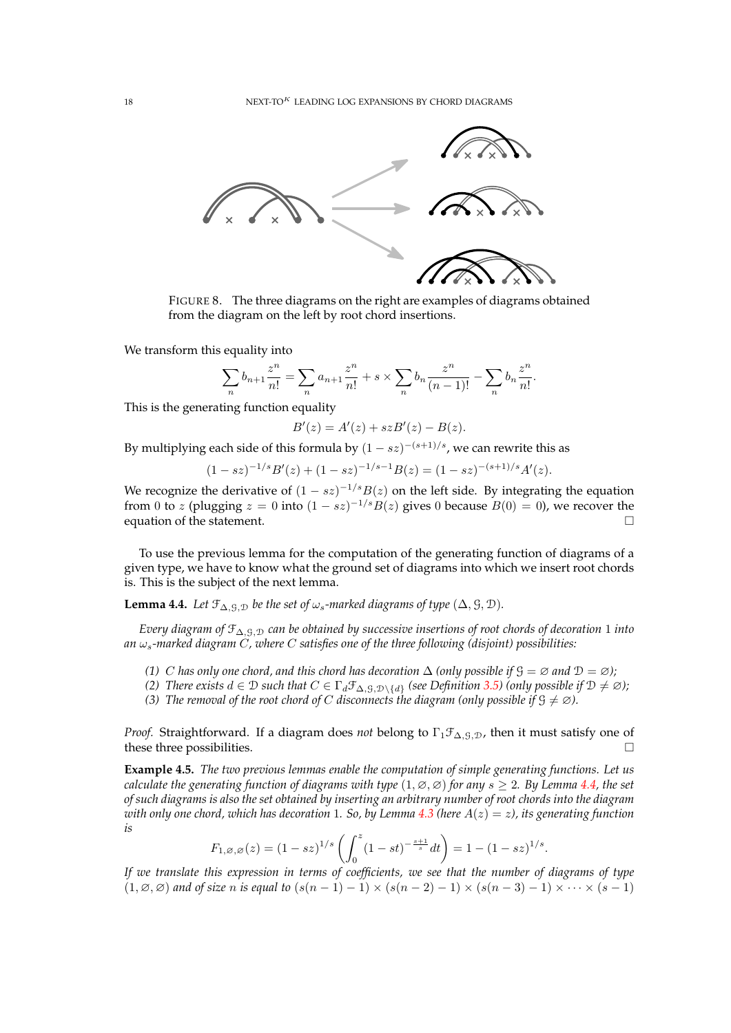

<span id="page-17-0"></span>FIGURE 8. The three diagrams on the right are examples of diagrams obtained from the diagram on the left by root chord insertions.

We transform this equality into

$$
\sum_{n} b_{n+1} \frac{z^n}{n!} = \sum_{n} a_{n+1} \frac{z^n}{n!} + s \times \sum_{n} b_n \frac{z^n}{(n-1)!} - \sum_{n} b_n \frac{z^n}{n!}.
$$

This is the generating function equality

 $B'(z) = A'(z) + szB'(z) - B(z).$ 

By multiplying each side of this formula by  $(1-sz)^{-(s+1)/s}$ , we can rewrite this as

$$
(1 - sz)^{-1/s} B'(z) + (1 - sz)^{-1/s - 1} B(z) = (1 - sz)^{-(s+1)/s} A'(z).
$$

We recognize the derivative of  $(1 - sz)^{-1/s}B(z)$  on the left side. By integrating the equation from 0 to z (plugging  $z = 0$  into  $(1 - sz)^{-1/s}B(z)$  gives 0 because  $B(0) = 0$ ), we recover the equation of the statement.

To use the previous lemma for the computation of the generating function of diagrams of a given type, we have to know what the ground set of diagrams into which we insert root chords is. This is the subject of the next lemma.

<span id="page-17-1"></span>**Lemma 4.4.** *Let*  $\mathcal{F}_{\Delta,g,\mathcal{D}}$  *be the set of*  $\omega_s$ -marked diagrams of type  $(\Delta, \mathcal{G}, \mathcal{D})$ *.* 

*Every diagram of* F∆,G,<sup>D</sup> *can be obtained by successive insertions of root chords of decoration* 1 *into an* ωs*-marked diagram* C*, where* C *satisfies one of the three following (disjoint) possibilities:*

- *(1) C* has only one chord, and this chord has decoration  $\Delta$  *(only possible if*  $\beta = \emptyset$  *and*  $\mathcal{D} = \emptyset$ *)*;
- *(2) There exists*  $d \in \mathcal{D}$  *such that*  $C \in \Gamma_d \mathcal{F}_{\Delta,\mathcal{G},\mathcal{D}\setminus\{d\}}$  *(see Definition [3.5\)](#page-11-3) (only possible if*  $\mathcal{D} \neq \emptyset$ *)*;
- <span id="page-17-2"></span>*(3) The removal of the root chord of C disconnects the diagram (only possible if*  $\mathcal{G} \neq \emptyset$ *).*

*Proof.* Straightforward. If a diagram does *not* belong to  $\Gamma_1 \mathcal{F}_{\Delta, G, \mathcal{D}}$ , then it must satisfy one of these three possibilities.  $\Box$ 

**Example 4.5.** *The two previous lemmas enable the computation of simple generating functions. Let us calculate the generating function of diagrams with type*  $(1, \emptyset, \emptyset)$  *for any*  $s \geq 2$ *. By Lemma [4.4,](#page-17-1) the set of such diagrams is also the set obtained by inserting an arbitrary number of root chords into the diagram with only one chord, which has decoration* 1*. So, by Lemma* [4.3](#page-16-0) (here  $A(z) = z$ ), its generating function *is*

$$
F_{1,\varnothing,\varnothing}(z) = (1 - sz)^{1/s} \left( \int_0^z (1 - st)^{-\frac{s+1}{s}} dt \right) = 1 - (1 - sz)^{1/s}.
$$

*If we translate this expression in terms of coefficients, we see that the number of diagrams of type*  $(1, \emptyset, \emptyset)$  *and of size n is equal to*  $(s(n-1)-1) \times (s(n-2)-1) \times (s(n-3)-1) \times \cdots \times (s-1)$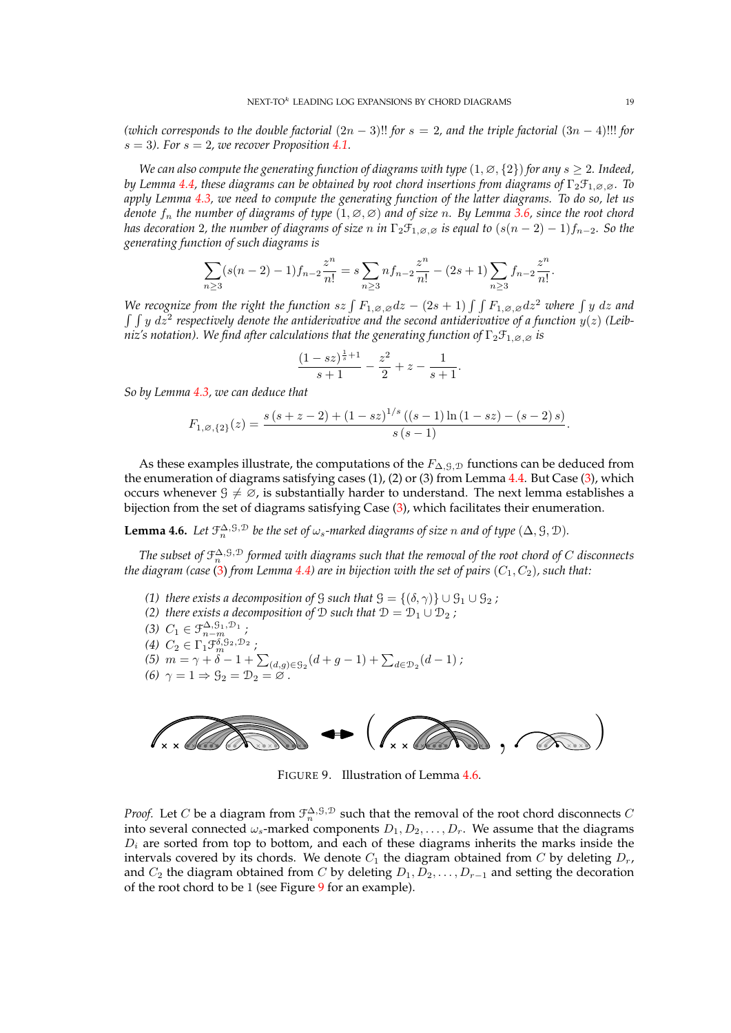*(which corresponds to the double factorial* (2n − 3)!! *for* s = 2*, and the triple factorial* (3n − 4)!!! *for*  $s = 3$ ). For  $s = 2$ , we recover Proposition [4.1.](#page-14-0)

*We can also compute the generating function of diagrams with type*  $(1, \emptyset, \{2\})$  *for any*  $s \geq 2$ *. Indeed, by Lemma* [4.4,](#page-17-1) *these diagrams can be obtained by root chord insertions from diagrams of*  $\Gamma_2 \mathcal{F}_{1,\emptyset,\emptyset}$ *. To apply Lemma [4.3,](#page-16-0) we need to compute the generating function of the latter diagrams. To do so, let us denote*  $f_n$  *the number of diagrams of type*  $(1, \emptyset, \emptyset)$  *and of size* n. By Lemma [3.6,](#page-11-1) since the root chord *has decoration* 2*, the number of diagrams of size* n *in*  $\Gamma_2\mathcal{F}_{1,\emptyset,\emptyset}$  *is equal to*  $(s(n-2)-1)f_{n-2}$ *. So the generating function of such diagrams is*

$$
\sum_{n\geq 3} (s(n-2)-1)f_{n-2}\frac{z^n}{n!} = s\sum_{n\geq 3} nf_{n-2}\frac{z^n}{n!} - (2s+1)\sum_{n\geq 3} f_{n-2}\frac{z^n}{n!}.
$$

*We recognize from the right the function*  $sz \int F_{1,\varnothing,\varnothing} dz - (2s+1) \int \int F_{1,\varnothing,\varnothing} dz^2$  *where*  $\int y dz$  *and*  $\int \int y\ dz^2$  respectively denote the antiderivative and the second antiderivative of a function  $y(z)$  (Leib*niz's notation). We find after calculations that the generating function of*  $\Gamma_2\mathcal{F}_{1,\emptyset,\emptyset}$  *is* 

$$
\frac{(1-sz)^{\frac{1}{s}+1}}{s+1} - \frac{z^2}{2} + z - \frac{1}{s+1}.
$$

*So by Lemma [4.3,](#page-16-0) we can deduce that*

$$
F_{1,\varnothing,\{2\}}(z)=\frac{s\left(s+z-2\right)+\left(1-sz\right)^{1/s}\left(\left(s-1\right)\ln\left(1-sz\right)-\left(s-2\right)s\right)}{s\left(s-1\right)}.
$$

As these examples illustrate, the computations of the  $F_{\Delta,\mathcal{G},\mathcal{D}}$  functions can be deduced from the enumeration of diagrams satisfying cases  $(1)$ ,  $(2)$  or  $(3)$  from Lemma [4.4.](#page-17-1) But Case  $(3)$ , which occurs whenever  $\mathfrak{G} \neq \emptyset$ , is substantially harder to understand. The next lemma establishes a bijection from the set of diagrams satisfying Case [\(3\)](#page-17-2), which facilitates their enumeration.

**Lemma 4.6.** Let  $\mathcal{F}_n^{\Delta,\mathcal{G},\mathcal{D}}$  be the set of  $\omega_s$ -marked diagrams of size n and of type  $(\Delta,\mathcal{G},\mathcal{D})$ .

The subset of  $\mathfrak{F}^{\Delta,\mathfrak{G},\mathfrak{D}}_{n}$  formed with diagrams such that the removal of the root chord of  $C$  disconnects *the diagram (case [\(3\)](#page-17-2) from Lemma [4.4\)](#page-17-1) are in bijection with the set of pairs*  $(C_1, C_2)$ *, such that:* 

- <span id="page-18-5"></span>*(1) there exists a decomposition of G such that*  $G = \{(\delta, \gamma)\} \cup G_1 \cup G_2$ ;
- <span id="page-18-4"></span>*(2) there exists a decomposition of*  $D$  *such that*  $D = D_1 \cup D_2$ ;
- <span id="page-18-3"></span> $(3)$   $C_1 \in \mathcal{F}_{n-m}^{\Delta,\mathcal{G}_1,\mathcal{D}_1}$ ;
- <span id="page-18-2"></span>(4)  $C_2 \in \Gamma_1 \mathcal{F}_m^{\delta, \mathcal{G}_2, \mathcal{D}_2}$ ;
- <span id="page-18-6"></span>(5)  $m = \gamma + \delta - 1 + \sum_{(d,g) \in \mathcal{G}_2} (d+g-1) + \sum_{d \in \mathcal{D}_2} (d-1)$ ;
- <span id="page-18-0"></span>*(6)*  $\gamma = 1 \Rightarrow \mathcal{G}_2 = \mathcal{D}_2 = \varnothing$ .



<span id="page-18-1"></span>FIGURE 9. Illustration of Lemma [4.6.](#page-18-0)

*Proof.* Let C be a diagram from  $\mathcal{F}_n^{\Delta,\mathcal{G},\mathcal{D}}$  such that the removal of the root chord disconnects C into several connected  $\omega_s$ -marked components  $D_1, D_2, \ldots, D_r$ . We assume that the diagrams  $D_i$  are sorted from top to bottom, and each of these diagrams inherits the marks inside the intervals covered by its chords. We denote  $C_1$  the diagram obtained from C by deleting  $D_r$ , and  $C_2$  the diagram obtained from C by deleting  $D_1, D_2, \ldots, D_{r-1}$  and setting the decoration of the root chord to be 1 (see Figure [9](#page-18-1) for an example).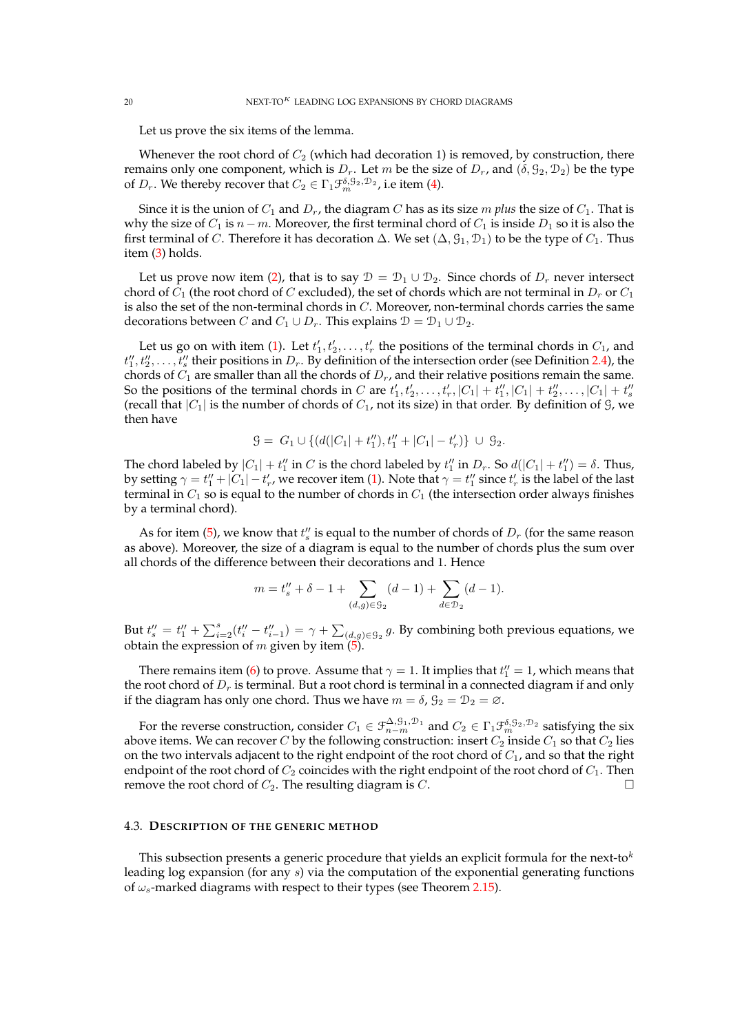Let us prove the six items of the lemma.

Whenever the root chord of  $C_2$  (which had decoration 1) is removed, by construction, there remains only one component, which is  $D_r$ . Let m be the size of  $D_r$ , and  $(\delta, \mathcal{G}_2, \mathcal{D}_2)$  be the type of  $D_r$ . We thereby recover that  $C_2 \in \Gamma_1 \mathcal{F}_m^{\delta, \mathcal{G}_2, \mathcal{D}_2}$ , i.e item [\(4\)](#page-18-2).

Since it is the union of  $C_1$  and  $D_r$ , the diagram C has as its size m plus the size of  $C_1$ . That is why the size of  $C_1$  is  $n - m$ . Moreover, the first terminal chord of  $C_1$  is inside  $D_1$  so it is also the first terminal of C. Therefore it has decoration  $\Delta$ . We set  $(\Delta, \mathcal{G}_1, \mathcal{D}_1)$  to be the type of  $C_1$ . Thus item [\(3\)](#page-18-3) holds.

Let us prove now item [\(2\)](#page-18-4), that is to say  $\mathcal{D} = \mathcal{D}_1 \cup \mathcal{D}_2$ . Since chords of  $D_r$  never intersect chord of  $C_1$  (the root chord of C excluded), the set of chords which are not terminal in  $D_r$  or  $C_1$ is also the set of the non-terminal chords in  $C$ . Moreover, non-terminal chords carries the same decorations between C and  $C_1 \cup D_r$ . This explains  $\mathcal{D} = \mathcal{D}_1 \cup \mathcal{D}_2$ .

Let us go on with item [\(1\)](#page-18-5). Let  $t'_1, t'_2, \ldots, t'_r$  the positions of the terminal chords in  $C_1$ , and  $t''_1,t''_2,\ldots,t''_s$  their positions in  $D_r.$  By definition of the intersection order (see Definition [2.4\)](#page-5-2), the chords of  $C_1$  are smaller than all the chords of  $D_r$ , and their relative positions remain the same. So the positions of the terminal chords in C are  $t'_1, t'_2, \ldots, t'_r, |C_1| + t''_1, |C_1| + t''_2, \ldots, |C_1| + t''_s$ (recall that  $|C_1|$  is the number of chords of  $C_1$ , not its size) in that order. By definition of  $\mathcal{G}$ , we then have

$$
\mathcal{G} = G_1 \cup \{ (d(|C_1| + t_1''), t_1'' + |C_1| - t_r') \} \cup \mathcal{G}_2.
$$

The chord labeled by  $|C_1| + t''_1$  in  $C$  is the chord labeled by  $t''_1$  in  $D_r$ . So  $d(|C_1| + t''_1) = \delta$ . Thus, by setting  $\gamma = t_1'' + |C_1| - t_r'$ , we recover item [\(1\)](#page-18-5). Note that  $\gamma = t_1''$  since  $t_r'$  is the label of the last terminal in  $C_1$  so is equal to the number of chords in  $C_1$  (the intersection order always finishes by a terminal chord).

As for item [\(5\)](#page-18-6), we know that  $t''_s$  is equal to the number of chords of  $D_r$  (for the same reason as above). Moreover, the size of a diagram is equal to the number of chords plus the sum over all chords of the difference between their decorations and 1. Hence

$$
m = t_s'' + \delta - 1 + \sum_{(d,g) \in \mathcal{G}_2} (d-1) + \sum_{d \in \mathcal{D}_2} (d-1).
$$

But  $t''_s = t''_1 + \sum_{i=2}^s (t''_i - t''_{i-1}) = \gamma + \sum_{(d,g) \in \mathcal{G}_2} g$ . By combining both previous equations, we obtain the expression of  $m$  given by item  $(5)$ .

There remains item [\(6\)](#page-18-0) to prove. Assume that  $\gamma = 1$ . It implies that  $t''_1 = 1$ , which means that the root chord of  $D_r$  is terminal. But a root chord is terminal in a connected diagram if and only if the diagram has only one chord. Thus we have  $m = \delta$ ,  $\mathcal{G}_2 = \mathcal{D}_2 = \emptyset$ .

For the reverse construction, consider  $C_1 \in \mathfrak{F}_{n-m}^{\Delta, \mathfrak{G}_1, \mathfrak{D}_1}$  and  $C_2 \in \Gamma_1\mathfrak{F}_m^{\delta, \mathfrak{G}_2, \mathfrak{D}_2}$  satisfying the six above items. We can recover  $C$  by the following construction: insert  $C_2$  inside  $C_1$  so that  $C_2$  lies on the two intervals adjacent to the right endpoint of the root chord of  $C_1$ , and so that the right endpoint of the root chord of  $C_2$  coincides with the right endpoint of the root chord of  $C_1$ . Then remove the root chord of  $C_2$ . The resulting diagram is C.

#### <span id="page-19-0"></span>4.3. **DESCRIPTION OF THE GENERIC METHOD**

This subsection presents a generic procedure that yields an explicit formula for the next-to $^k$ leading log expansion (for any s) via the computation of the exponential generating functions of  $\omega_s$ -marked diagrams with respect to their types (see Theorem [2.15\)](#page-8-1).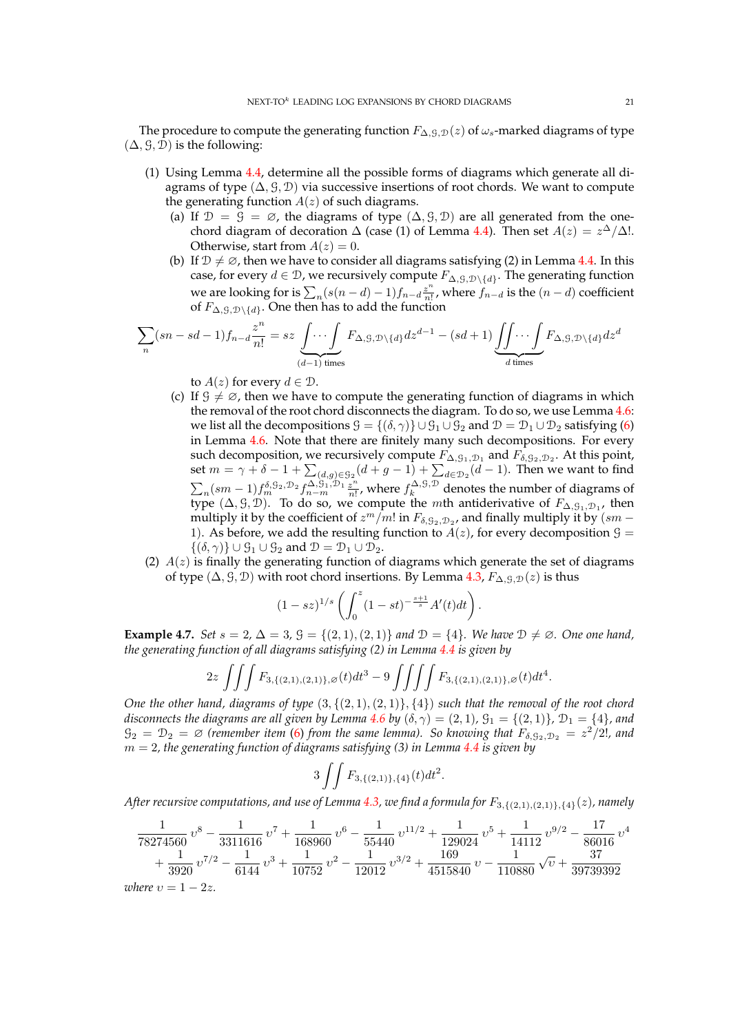The procedure to compute the generating function  $F_{\Delta,\mathcal{G},\mathcal{D}}(z)$  of  $\omega_s$ -marked diagrams of type  $(\Delta, \mathcal{G}, \mathcal{D})$  is the following:

- (1) Using Lemma [4.4,](#page-17-1) determine all the possible forms of diagrams which generate all diagrams of type  $(\Delta, \mathcal{G}, \mathcal{D})$  via successive insertions of root chords. We want to compute the generating function  $A(z)$  of such diagrams.
	- (a) If  $\mathcal{D} = \mathcal{G} = \emptyset$ , the diagrams of type  $(\Delta, \mathcal{G}, \mathcal{D})$  are all generated from the onechord diagram of decoration  $\Delta$  (case (1) of Lemma [4.4\)](#page-17-1). Then set  $A(z) = z^{\Delta}/\Delta!$ . Otherwise, start from  $A(z) = 0$ .
	- (b) If  $\mathcal{D} \neq \emptyset$ , then we have to consider all diagrams satisfying (2) in Lemma [4.4.](#page-17-1) In this case, for every  $d \in \mathcal{D}$ , we recursively compute  $F_{\Delta,\mathcal{G},\mathcal{D}\setminus\{d\}}$ . The generating function we are looking for is  $\sum_{n} (s(n-d) - 1) f_{n-d} \frac{z^n}{n!}$  $\frac{z^n}{n!}$ , where  $f_{n-d}$  is the  $(n-d)$  coefficient of  $F_{\Delta,\mathcal{G},\mathcal{D}\setminus\{d\}}$ . One then has to add the function

$$
\sum_{n} (sn - sd - 1)f_{n-d} \frac{z^n}{n!} = sz \underbrace{\int \cdots \int}_{(d-1) \text{ times}} F_{\Delta, \mathcal{G}, \mathcal{D} \setminus \{d\}} dz^{d-1} - (sd + 1) \underbrace{\int \int \cdots \int}_{d \text{ times}} F_{\Delta, \mathcal{G}, \mathcal{D} \setminus \{d\}} dz^d
$$

to  $A(z)$  for every  $d \in \mathcal{D}$ .

- (c) If  $\mathcal{G} \neq \emptyset$ , then we have to compute the generating function of diagrams in which the removal of the root chord disconnects the diagram. To do so, we use Lemma [4.6:](#page-18-0) we list all the decompositions  $G = \{(\delta, \gamma)\} \cup G_1 \cup G_2$  and  $\mathcal{D} = \mathcal{D}_1 \cup \mathcal{D}_2$  satisfying [\(6\)](#page-18-0) in Lemma [4.6.](#page-18-0) Note that there are finitely many such decompositions. For every such decomposition, we recursively compute  $F_{\Delta, \mathcal{G}_1, \mathcal{D}_1}$  and  $F_{\delta, \mathcal{G}_2, \mathcal{D}_2}$ . At this point, set  $m = \gamma + \delta - 1 + \sum_{(d,g) \in \mathcal{G}_2} (d+g-1) + \sum_{d \in \mathcal{D}_2} (d-1)$ . Then we want to find  $\sum_{n} (sm-1) f_m^{\delta,\mathcal{G}_2,\mathcal{D}_2} f_{n-m}^{\Delta,\mathcal{G}_1,\mathcal{D}_1} \frac{z^n}{n!}$  $\frac{z^n}{n!}$ , where  $f_k^{\Delta,\mathfrak{G},\mathfrak{D}}$  denotes the number of diagrams of type  $(\Delta, \mathcal{G}, \mathcal{D})$ . To do so, we compute the *m*th antiderivative of  $F_{\Delta, \mathcal{G}_1, \mathcal{D}_1}$ , then multiply it by the coefficient of  $z^m/m!$  in  $F_{\delta, \mathcal{G}_2, \mathcal{D}_2}$ , and finally multiply it by  $(sm -$ 1). As before, we add the resulting function to  $A(z)$ , for every decomposition  $\mathcal{G} =$  $\{(\delta, \gamma)\}\cup \mathcal{G}_1\cup \mathcal{G}_2$  and  $\mathcal{D}=\mathcal{D}_1\cup \mathcal{D}_2$ .
- (2)  $A(z)$  is finally the generating function of diagrams which generate the set of diagrams of type  $(\Delta, \mathcal{G}, \mathcal{D})$  with root chord insertions. By Lemma [4.3,](#page-16-0)  $F_{\Delta,\mathcal{G},\mathcal{D}}(z)$  is thus

$$
(1-sz)^{1/s} \left( \int_0^z (1-st)^{-\frac{s+1}{s}} A'(t) dt \right).
$$

**Example 4.7.** *Set*  $s = 2$ ,  $\Delta = 3$ ,  $\mathcal{G} = \{(2, 1), (2, 1)\}$  *and*  $\mathcal{D} = \{4\}$ *. We have*  $\mathcal{D} \neq \emptyset$ *. One one hand, the generating function of all diagrams satisfying (2) in Lemma [4.4](#page-17-1) is given by*

$$
2z \iiint F_{3,\{(2,1),(2,1)\},\varnothing}(t)dt^3 - 9 \iiint F_{3,\{(2,1),(2,1)\},\varnothing}(t)dt^4.
$$

*One the other hand, diagrams of type* (3, {(2, 1),(2, 1)}, {4}) *such that the removal of the root chord disconnects the diagrams are all given by Lemma [4.6](#page-18-0) by*  $(\delta, \gamma) = (2, 1)$ *,*  $\mathcal{G}_1 = \{(2, 1)\}\$ *,*  $\mathcal{D}_1 = \{4\}$ *, and*  $\mathcal{G}_2 = \mathcal{D}_2 = \varnothing$  (remember item [\(6\)](#page-18-0) from the same lemma). So knowing that  $F_{\delta, \mathcal{G}_2, \mathcal{D}_2} = z^2/2!$ , and m = 2*, the generating function of diagrams satisfying (3) in Lemma [4.4](#page-17-1) is given by*

$$
3\int\int F_{3,\{(2,1)\},\{4\}}(t)dt^2.
$$

*After recursive computations, and use of Lemma [4.3,](#page-16-0) we find a formula for*  $F_{3,\{(2,1),(2,1)\},\{4\}}(z)$ *, namely* 

$$
\frac{1}{78274560}v^8 - \frac{1}{3311616}v^7 + \frac{1}{168960}v^6 - \frac{1}{55440}v^{11/2} + \frac{1}{129024}v^5 + \frac{1}{14112}v^{9/2} - \frac{17}{86016}v^4 + \frac{1}{3920}v^{7/2} - \frac{1}{6144}v^3 + \frac{1}{10752}v^2 - \frac{1}{12012}v^{3/2} + \frac{169}{4515840}v - \frac{1}{110880}v^6 + \frac{37}{39739392}
$$

*where*  $v = 1 - 2z$ *.*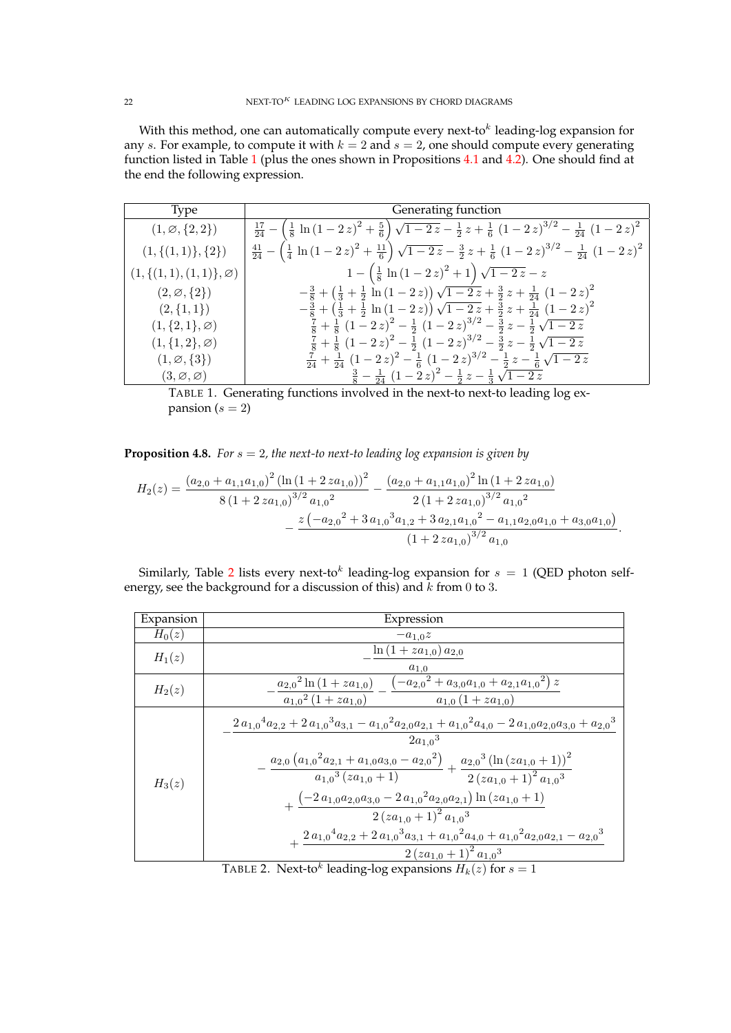With this method, one can automatically compute every next-to $^k$  leading-log expansion for any s. For example, to compute it with  $k = 2$  and  $s = 2$ , one should compute every generating function listed in Table [1](#page-21-1) (plus the ones shown in Propositions [4.1](#page-14-0) and [4.2\)](#page-14-1). One should find at the end the following expression.

| 'lype                                | Generating function                                                                                                                                                              |
|--------------------------------------|----------------------------------------------------------------------------------------------------------------------------------------------------------------------------------|
| $(1, \emptyset, \{2, 2\})$           | $\frac{17}{24} - \left(\frac{1}{8} \ln (1-2 z)^2 + \frac{5}{6}\right) \sqrt{1-2 z} - \frac{1}{2} z + \frac{1}{6} (1-2 z)^{3/2} - \frac{1}{24} (1-2 z)^2$                         |
| $(1,\{(1,1)\},\{2\})$                | $\frac{41}{24} - \left(\frac{1}{4}\ln\left(1-2z\right)^2 + \frac{11}{6}\right)\sqrt{1-2z} - \frac{3}{2}z + \frac{1}{6}\left(1-2z\right)^{3/2} - \frac{1}{24}\left(1-2z\right)^2$ |
| $(1, \{(1, 1), (1, 1)\}, \emptyset)$ | $1 - \left(\frac{1}{8} \ln (1 - 2 z)^2 + 1\right) \sqrt{1 - 2 z} - z$                                                                                                            |
| $(2,\varnothing,\{2\})$              | $-\frac{3}{8} + (\frac{1}{3} + \frac{1}{2} \ln(1 - 2z)) \sqrt{1 - 2z} + \frac{3}{2} z + \frac{1}{24} (1 - 2z)^2$                                                                 |
| $(2,\{1,1\})$                        | $-\frac{3}{8} + (\frac{1}{3} + \frac{1}{2} \ln(1-2z)) \sqrt{1-2z} + \frac{3}{2}z + \frac{1}{24} (1-2z)^2$                                                                        |
| $(1,\{2,1\},\varnothing)$            | $\frac{7}{8} + \frac{1}{8}(1-2z)^2 - \frac{1}{2}(1-2z)^{3/2} - \frac{3}{2}z - \frac{1}{2}\sqrt{1-2z}$                                                                            |
| $(1, \{1, 2\}, \emptyset)$           | $\frac{7}{8} + \frac{1}{8}(1-2z)^2 - \frac{1}{2}(1-2z)^{3/2} - \frac{3}{2}z - \frac{1}{2}\sqrt{1-2z}$                                                                            |
| $(1, \varnothing, \{3\})$            | $\frac{7}{24} + \frac{1}{24} (1 - 2 z)^2 - \frac{1}{6} (1 - 2 z)^{3/2} - \frac{1}{2} z - \frac{1}{6} \sqrt{1 - 2 z}$                                                             |
| $(3, \varnothing, \varnothing)$      | $\frac{3}{8} - \frac{1}{24} (1 - 2 z)^2 - \frac{1}{2} z - \frac{1}{3} \sqrt{1 - 2 z}$                                                                                            |

<span id="page-21-1"></span>TABLE 1. Generating functions involved in the next-to next-to leading log expansion  $(s = 2)$ 

<span id="page-21-0"></span>**Proposition 4.8.** *For*  $s = 2$ *, the next-to next-to leading log expansion is given by* 

2

$$
H_{2}(z) = \frac{(a_{2,0} + a_{1,1}a_{1,0})^{2} (\ln(1 + 2 za_{1,0}))^{2}}{8(1 + 2 za_{1,0})^{3/2} a_{1,0}^{2}} - \frac{(a_{2,0} + a_{1,1}a_{1,0})^{2} \ln(1 + 2 za_{1,0})}{2(1 + 2 za_{1,0})^{3/2} a_{1,0}^{2}} - \frac{z(-a_{2,0}^{2} + 3 a_{1,0}^{3}a_{1,2} + 3 a_{2,1}a_{1,0}^{2} - a_{1,1}a_{2,0}a_{1,0} + a_{3,0}a_{1,0})}{(1 + 2 za_{1,0})^{3/2} a_{1,0}}.
$$

Similarly, Table [2](#page-21-2) lists every next-to<sup>k</sup> leading-log expansion for  $s = 1$  (QED photon selfenergy, see the background for a discussion of this) and  $\vec{k}$  from 0 to 3.

<span id="page-21-2"></span>

| Expansion                                                                 | Expression                                                                                                                                                                                                                                                                                                                                                                                                                                                                                                                                                                                                                                                                                            |  |
|---------------------------------------------------------------------------|-------------------------------------------------------------------------------------------------------------------------------------------------------------------------------------------------------------------------------------------------------------------------------------------------------------------------------------------------------------------------------------------------------------------------------------------------------------------------------------------------------------------------------------------------------------------------------------------------------------------------------------------------------------------------------------------------------|--|
| $H_0(z)$                                                                  | $-a_{1,0}z$                                                                                                                                                                                                                                                                                                                                                                                                                                                                                                                                                                                                                                                                                           |  |
| $H_1(z)$                                                                  | $\ln(1+za_{1,0}) a_{2,0}$<br>$a_{1,0}$                                                                                                                                                                                                                                                                                                                                                                                                                                                                                                                                                                                                                                                                |  |
| $H_2(z)$                                                                  | $a_{2,0}{}^2 \ln(1 + z a_{1,0})$ $\left(-a_{2,0}{}^2 + a_{3,0} a_{1,0} + a_{2,1} a_{1,0}{}^2\right) z$<br>$a_{1,0}^2(1+za_{1,0})$<br>$a_{1,0}$ $(1 + za_{1,0})$                                                                                                                                                                                                                                                                                                                                                                                                                                                                                                                                       |  |
| $H_3(z)$                                                                  | $2a_{1,0}{}^4a_{2,2}+2a_{1,0}{}^3a_{3,1}-a_{1,0}{}^2a_{2,0}a_{2,1}+a_{1,0}{}^2a_{4,0}-2a_{1,0}a_{2,0}a_{3,0}+a_{2,0}{}^3$<br>$2a_{1,0}$ <sup>3</sup><br>$\frac{a_{2,0} (a_{1,0}^2 a_{2,1} + a_{1,0} a_{3,0} - a_{2,0}^2)}{a_{1,0}^3 (z a_{1,0} + 1)} + \frac{a_{2,0}^3 (\ln (z a_{1,0} + 1))^2}{2 (z a_{1,0} + 1)^2 a_{1,0}^3}$<br>$+\frac{\left(-2\,a_{1,0}a_{2,0}a_{3,0}-2\,a_{1,0}a_{2,0}a_{2,1}\right)\ln\left(za_{1,0}+1\right)}{2}$<br>$\frac{1}{2(za_{1.0}+1)^2a_{1.0}^3}$<br>$+\frac{2\,a_{1,0}{}^4a_{2,2}+2\,a_{1,0}{}^3a_{3,1}+a_{1,0}{}^2a_{4,0}+a_{1,0}{}^2a_{2,0}a_{2,1}-a_{2,0}{}^3}{4\,a_{1,0}{}^4a_{2,0}+a_{2,0}{}^2a_{3,0}+a_{3,0}{}^3a_{3,1}}$<br>$\sqrt{2(za_{1.0}+1)^2a_{1.0}^3}$ |  |
| TABLE 2. Next-to <sup>k</sup> leading-log expansions $H_k(z)$ for $s = 1$ |                                                                                                                                                                                                                                                                                                                                                                                                                                                                                                                                                                                                                                                                                                       |  |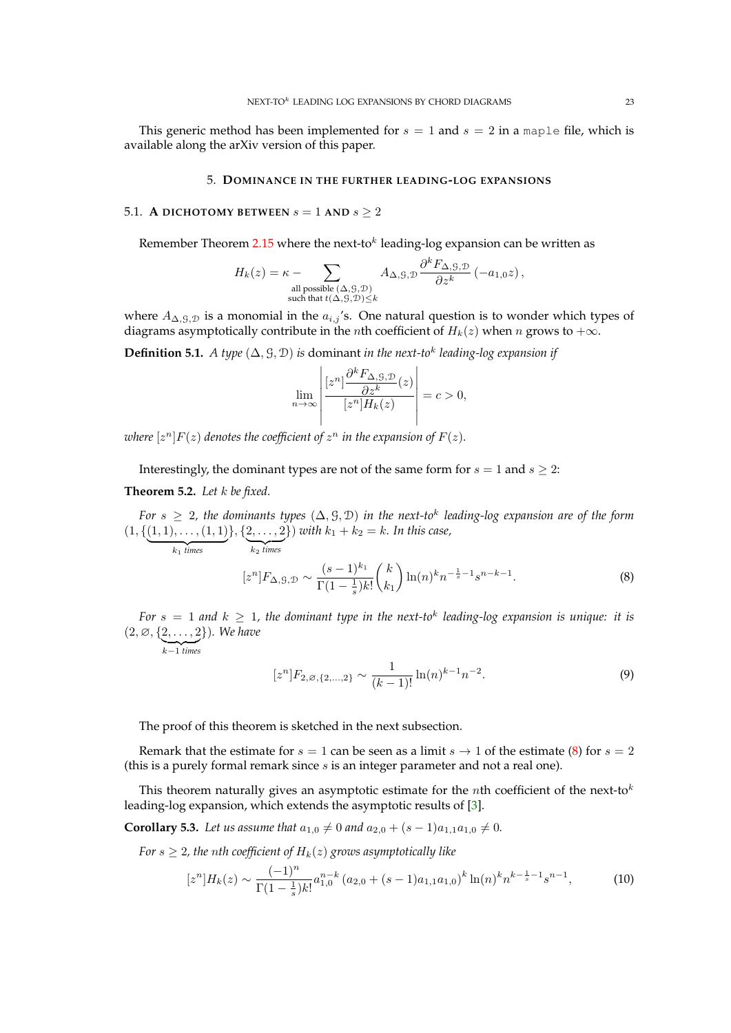<span id="page-22-3"></span>This generic method has been implemented for  $s = 1$  and  $s = 2$  in a maple file, which is available along the arXiv version of this paper.

### 5. **DOMINANCE IN THE FURTHER LEADING-LOG EXPANSIONS**

# 5.1. A DICHOTOMY BETWEEN  $s = 1$  AND  $s \geq 2$

Remember Theorem [2.15](#page-8-1) where the next-to $^k$  leading-log expansion can be written as

$$
H_k(z) = \kappa - \sum_{\substack{\text{all possible } (\Delta, \mathcal{G}, \mathcal{D}) \\ \text{such that } t(\Delta, \mathcal{G}, \mathcal{D}) \leq k}} A_{\Delta, \mathcal{G}, \mathcal{D}} \frac{\partial^k F_{\Delta, \mathcal{G}, \mathcal{D}}}{\partial z^k} \left( -a_{1,0} z \right),
$$

where  $A_{\Delta,\mathcal{G},\mathcal{D}}$  is a monomial in the  $a_{i,j}$ 's. One natural question is to wonder which types of diagrams asymptotically contribute in the *n*th coefficient of  $H_k(z)$  when *n* grows to + $\infty$ .

**Definition 5.1.** *A type* (∆, G, D) *is* dominant *in the next-to*<sup>k</sup> *leading-log expansion if*

$$
\lim_{n \to \infty} \left| \frac{[z^n] \frac{\partial^k F_{\Delta, \mathcal{G}, \mathcal{D}}}{\partial z^k}(z)}{[z^n] H_k(z)} \right| = c > 0,
$$

where  $[z^n]F(z)$  denotes the coefficient of  $z^n$  in the expansion of  $F(z)$ *.* 

Interestingly, the dominant types are not of the same form for  $s = 1$  and  $s \geq 2$ :

# **Theorem 5.2.** *Let* k *be fixed.*

 $k_1$  *times* 

*For* s ≥ 2*, the dominants types* (∆, G, D) *in the next-to*<sup>k</sup> *leading-log expansion are of the form*  $(1, \{(1, 1), \ldots, (1, 1)\})$  $\}, \{2, \ldots, 2\}$  $\}$ ) *with*  $k_1 + k_2 = k$ *. In this case*,

<span id="page-22-0"></span>
$$
\overline{k_2 \text{ times}}
$$
  

$$
[z^n]F_{\Delta, \mathcal{G}, \mathcal{D}} \sim \frac{(s-1)^{k_1}}{\Gamma(1-\frac{1}{s})k!} {k \choose k_1} \ln(n)^k n^{-\frac{1}{s}-1} s^{n-k-1}.
$$
 (8)

*For*  $s = 1$  and  $k \ge 1$ , the dominant type in the next-to<sup>k</sup> leading-log expansion is unique: it is  $(2, \emptyset, \{2, \ldots, 2\})$ })*. We have*

| {z } k−1 *times*

<span id="page-22-1"></span>
$$
[z^n]F_{2,\varnothing,\{2,\ldots,2\}} \sim \frac{1}{(k-1)!} \ln(n)^{k-1} n^{-2}.
$$
 (9)

The proof of this theorem is sketched in the next subsection.

Remark that the estimate for  $s = 1$  can be seen as a limit  $s \to 1$  of the estimate [\(8\)](#page-22-0) for  $s = 2$ (this is a purely formal remark since  $s$  is an integer parameter and not a real one).

This theorem naturally gives an asymptotic estimate for the *n*th coefficient of the next-to<sup>k</sup> leading-log expansion, which extends the asymptotic results of [\[3\]](#page-29-1).

**Corollary 5.3.** *Let us assume that*  $a_{1,0} \neq 0$  *and*  $a_{2,0} + (s - 1)a_{1,1}a_{1,0} \neq 0$ *.* 

*For*  $s \geq 2$ *, the nth coefficient of*  $H_k(z)$  *grows asymptotically like* 

<span id="page-22-2"></span>
$$
[z^n]H_k(z) \sim \frac{(-1)^n}{\Gamma(1-\frac{1}{s})k!} a_{1,0}^{n-k} (a_{2,0} + (s-1)a_{1,1}a_{1,0})^k \ln(n)^k n^{k-\frac{1}{s}-1} s^{n-1},\tag{10}
$$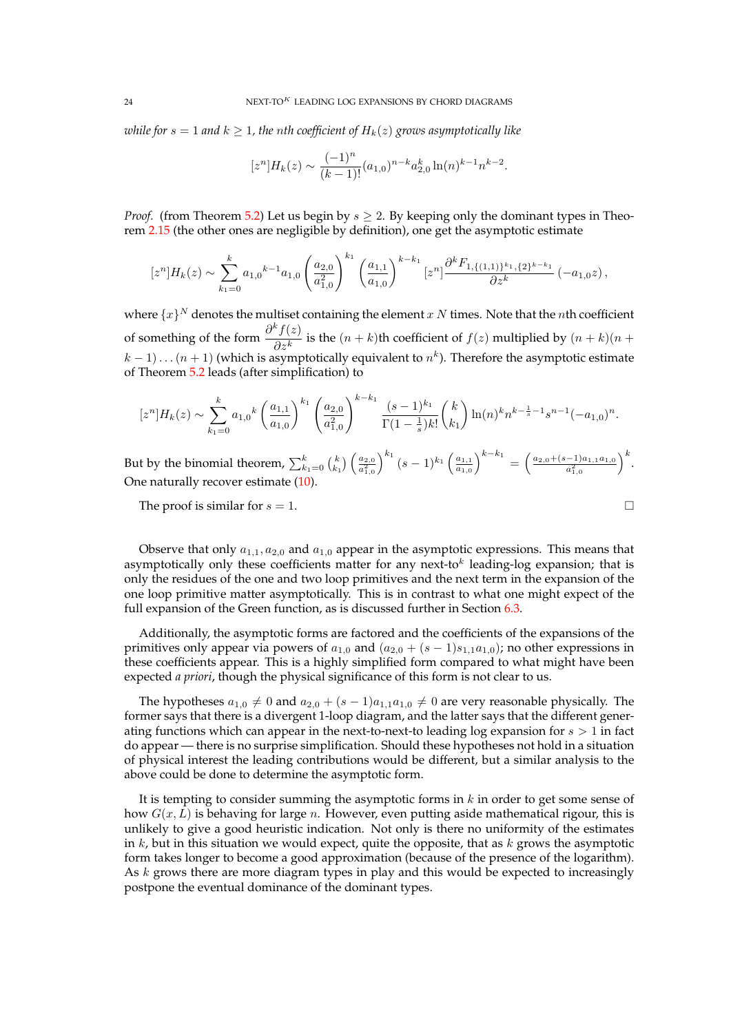*while for*  $s = 1$  *and*  $k \geq 1$ *, the nth coefficient of*  $H_k(z)$  *grows asymptotically like* 

$$
[z^n]H_k(z) \sim \frac{(-1)^n}{(k-1)!} (a_{1,0})^{n-k} a_{2,0}^k \ln(n)^{k-1} n^{k-2}.
$$

*Proof.* (from Theorem [5.2\)](#page-22-1) Let us begin by  $s \geq 2$ . By keeping only the dominant types in Theorem [2.15](#page-8-1) (the other ones are negligible by definition), one get the asymptotic estimate

$$
[z^n]H_k(z) \sim \sum_{k_1=0}^k a_{1,0}^{k-1} a_{1,0} \left(\frac{a_{2,0}}{a_{1,0}^2}\right)^{k_1} \left(\frac{a_{1,1}}{a_{1,0}}\right)^{k-k_1} [z^n] \frac{\partial^k F_{1,\{(1,1)\}^{k_1},\{2\}^{k-k_1}}}{\partial z^k} (-a_{1,0}z),
$$

where  $\{x\}^N$  denotes the multiset containing the element  $x$  N times. Note that the nth coefficient of something of the form  $\frac{\partial^k f(z)}{\partial x^k}$  $\frac{\partial^2 f(x)}{\partial z^k}$  is the  $(n+k)$ th coefficient of  $f(z)$  multiplied by  $(n+k)(n+k)$  $(k-1)...(n+1)$  (which is asymptotically equivalent to  $n^k$ ). Therefore the asymptotic estimate of Theorem [5.2](#page-22-1) leads (after simplification) to

$$
[z^n]H_k(z) \sim \sum_{k_1=0}^k a_{1,0}{}^k \left(\frac{a_{1,1}}{a_{1,0}}\right)^{k_1} \left(\frac{a_{2,0}}{a_{1,0}^2}\right)^{k-k_1} \frac{(s-1)^{k_1}}{\Gamma(1-\frac{1}{s})k!} {k \choose k_1} \ln(n)^k n^{k-\frac{1}{s}-1} s^{n-1}(-a_{1,0})^n.
$$

But by the binomial theorem,  $\sum_{k_1=0}^{k} {k \choose k_1} \left( \frac{a_{2,0}}{a_{1,0}^2} \right)$  $a_{1,0}^2$  $\int^{k_1} (s-1)^{k_1} \left( \frac{a_{1,1}}{a_{1,2}} \right)$  $\left(\frac{a_{1,1}}{a_{1,0}}\right)^{k-k_1} = \left(\frac{a_{2,0}+(s-1)a_{1,1}a_{1,0}}{a_{1,0}^2}\right)^{k-k_1}$  $a_{1,0}^2$  $\big)^k$ . One naturally recover estimate [\(10\)](#page-22-2).

The proof is similar for  $s = 1$ .

Observe that only  $a_{1,1}, a_{2,0}$  and  $a_{1,0}$  appear in the asymptotic expressions. This means that asymptotically only these coefficients matter for any next-to $^k$  leading-log expansion; that is only the residues of the one and two loop primitives and the next term in the expansion of the one loop primitive matter asymptotically. This is in contrast to what one might expect of the full expansion of the Green function, as is discussed further in Section [6.3.](#page-28-0)

Additionally, the asymptotic forms are factored and the coefficients of the expansions of the primitives only appear via powers of  $a_{1,0}$  and  $(a_{2,0} + (s-1)s_{1,1}a_{1,0})$ ; no other expressions in these coefficients appear. This is a highly simplified form compared to what might have been expected *a priori*, though the physical significance of this form is not clear to us.

The hypotheses  $a_{1,0} \neq 0$  and  $a_{2,0} + (s - 1)a_{1,1}a_{1,0} \neq 0$  are very reasonable physically. The former says that there is a divergent 1-loop diagram, and the latter says that the different generating functions which can appear in the next-to-next-to leading log expansion for  $s > 1$  in fact do appear — there is no surprise simplification. Should these hypotheses not hold in a situation of physical interest the leading contributions would be different, but a similar analysis to the above could be done to determine the asymptotic form.

It is tempting to consider summing the asymptotic forms in  $k$  in order to get some sense of how  $G(x, L)$  is behaving for large n. However, even putting aside mathematical rigour, this is unlikely to give a good heuristic indication. Not only is there no uniformity of the estimates in  $k$ , but in this situation we would expect, quite the opposite, that as  $k$  grows the asymptotic form takes longer to become a good approximation (because of the presence of the logarithm). As  $k$  grows there are more diagram types in play and this would be expected to increasingly postpone the eventual dominance of the dominant types.

$$
\Box
$$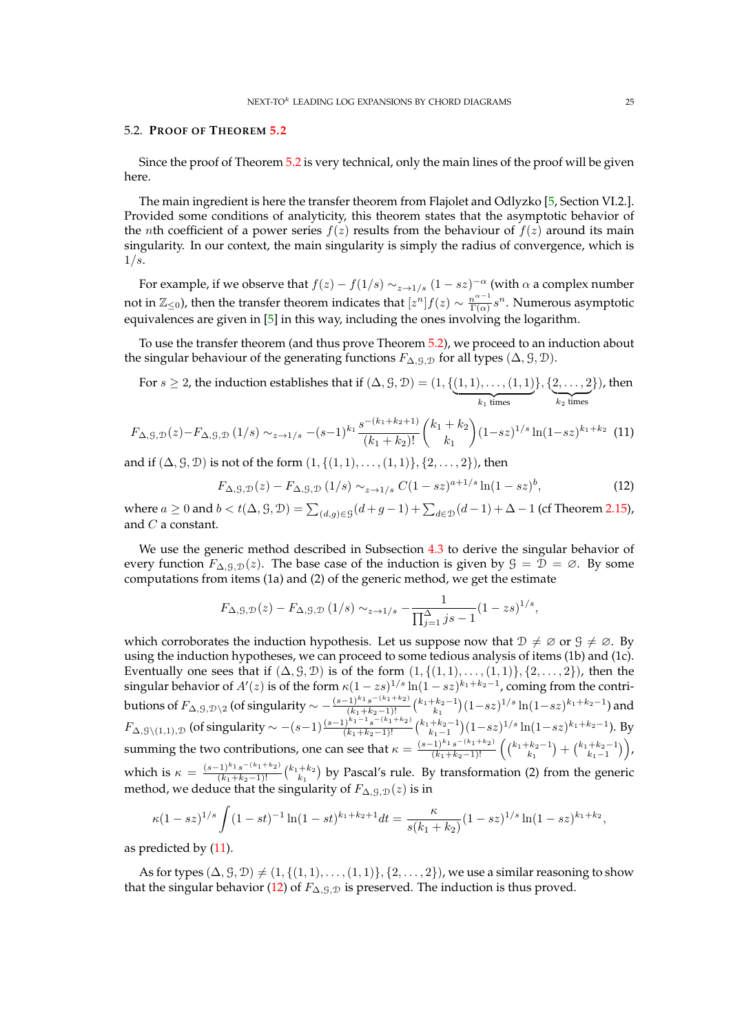### 5.2. **PROOF OF THEOREM [5.2](#page-22-1)**

Since the proof of Theorem [5.2](#page-22-1) is very technical, only the main lines of the proof will be given here.

The main ingredient is here the transfer theorem from Flajolet and Odlyzko [\[5,](#page-29-6) Section VI.2.]. Provided some conditions of analyticity, this theorem states that the asymptotic behavior of the *n*th coefficient of a power series  $f(z)$  results from the behaviour of  $f(z)$  around its main singularity. In our context, the main singularity is simply the radius of convergence, which is  $1/s.$ 

For example, if we observe that  $f(z) - f(1/s) \sim_{z \to 1/s} (1 - sz)^{-\alpha}$  (with  $\alpha$  a complex number not in  $\mathbb{Z}_{\leq 0}$ ), then the transfer theorem indicates that  $[z^n]f(z) \sim \frac{n^{\alpha-1}}{\Gamma(\alpha)}$  $\frac{n^{\alpha-1}}{\Gamma(\alpha)} s^n$ . Numerous asymptotic equivalences are given in [\[5\]](#page-29-6) in this way, including the ones involving the logarithm.

To use the transfer theorem (and thus prove Theorem [5.2\)](#page-22-1), we proceed to an induction about the singular behaviour of the generating functions  $F_{\Delta,g,\mathcal{D}}$  for all types ( $\Delta, \mathcal{G}, \mathcal{D}$ ).

For  $s \geq 2$ , the induction establishes that if  $(\Delta, \mathcal{G}, \mathcal{D}) = (1, \{(1, 1), \ldots, (1, 1)\})$  $k_1$  times  $\}, \{2, \ldots, 2\}$  $k_2$  times }), then

<span id="page-24-0"></span>
$$
F_{\Delta,\mathcal{G},\mathcal{D}}(z) - F_{\Delta,\mathcal{G},\mathcal{D}}(1/s) \sim_{z \to 1/s} -(s-1)^{k_1} \frac{s^{-(k_1+k_2+1)}}{(k_1+k_2)!} {k_1+k_2 \choose k_1} (1-sz)^{1/s} \ln(1-sz)^{k_1+k_2} (11)
$$

and if  $(\Delta, \mathcal{G}, \mathcal{D})$  is not of the form  $(1, \{(1, 1), \ldots, (1, 1)\}, \{2, \ldots, 2\})$ , then

<span id="page-24-1"></span>
$$
F_{\Delta,\mathcal{G},\mathcal{D}}(z) - F_{\Delta,\mathcal{G},\mathcal{D}}(1/s) \sim_{z \to 1/s} C(1 - sz)^{a+1/s} \ln(1 - sz)^b,
$$
\n(12)

where  $a\geq 0$  and  $b < t(\Delta, \mathcal{G}, \mathcal{D}) = \sum_{(d,g)\in \mathcal{G}}(d+g-1)+\sum_{d\in \mathcal{D}}(d-1)+\Delta-1$  (cf Theorem [2.15\)](#page-8-1), and C a constant.

We use the generic method described in Subsection [4.3](#page-19-0) to derive the singular behavior of every function  $F_{\Delta,\mathcal{G},\mathcal{D}}(z)$ . The base case of the induction is given by  $\mathcal{G} = \mathcal{D} = \emptyset$ . By some computations from items (1a) and (2) of the generic method, we get the estimate

$$
F_{\Delta,\mathcal{G},\mathcal{D}}(z) - F_{\Delta,\mathcal{G},\mathcal{D}}(1/s) \sim_{z \to 1/s} -\frac{1}{\prod_{j=1}^{\Delta} j s - 1} (1 - z s)^{1/s},
$$

which corroborates the induction hypothesis. Let us suppose now that  $\mathcal{D} \neq \emptyset$  or  $\mathcal{G} \neq \emptyset$ . By using the induction hypotheses, we can proceed to some tedious analysis of items (1b) and (1c). Eventually one sees that if  $(\Delta, \mathcal{G}, \mathcal{D})$  is of the form  $(1, \{(1, 1), \ldots, (1, 1)\}, \{2, \ldots, 2\})$ , then the singular behavior of  $A'(z)$  is of the form  $\kappa(1-zs)^{1/s}\ln(1-sz)^{k_1+k_2-1}$ , coming from the contributions of  $F_{\Delta,\mathcal{G},\mathcal{D}\setminus 2}$  (of singularity  $\sim -\frac{(s-1)^{k_1}s^{-(k_1+k_2)}}{(k_1+k_2-1)!}{k_1+ k_2-1 \choose k_1}(1-sz)^{1/s}\ln(1-sz)^{k_1+k_2-1})$  and  $F_{\Delta,\mathcal{G}\setminus(1,1),\mathcal{D}}$  (of singularity  $\sim -(s-1)\frac{(s-1)^{k_1-1}s^{-(k_1+k_2)}}{(k_1+k_2-1)!} {k_1+k_2-1 \choose k_1-1} (1-sz)^{1/s} \ln(1-sz)^{k_1+k_2-1}$ ). By summing the two contributions, one can see that  $\kappa = \frac{(s-1)^{k_1} s^{-(k_1+k_2)}}{(k_1+k_2-1)!} \left( \binom{k_1+k_2-1}{k_1} + \binom{k_1+k_2-1}{k_1-1} \right)$ which is  $\kappa = \frac{(s-1)^{k_1} s^{-(k_1+k_2)}}{(k_1+k_2-1)!} {k_1+k_2 \choose k_1}$  by Pascal's rule. By transformation (2) from the generic method, we deduce that the singularity of  $F_{\Delta,\mathfrak{G},\mathfrak{D}}(z)$  is in

$$
\kappa(1-sz)^{1/s} \int (1-st)^{-1} \ln(1-st)^{k_1+k_2+1} dt = \frac{\kappa}{s(k_1+k_2)} (1-sz)^{1/s} \ln(1-sz)^{k_1+k_2},
$$

as predicted by [\(11\)](#page-24-0).

As for types  $(\Delta, \mathcal{G}, \mathcal{D}) \neq (1, \{(1, 1), \ldots, (1, 1)\}, \{2, \ldots, 2\})$ , we use a similar reasoning to show that the singular behavior [\(12\)](#page-24-1) of  $F_{\Delta, \mathcal{G}, \mathcal{D}}$  is preserved. The induction is thus proved.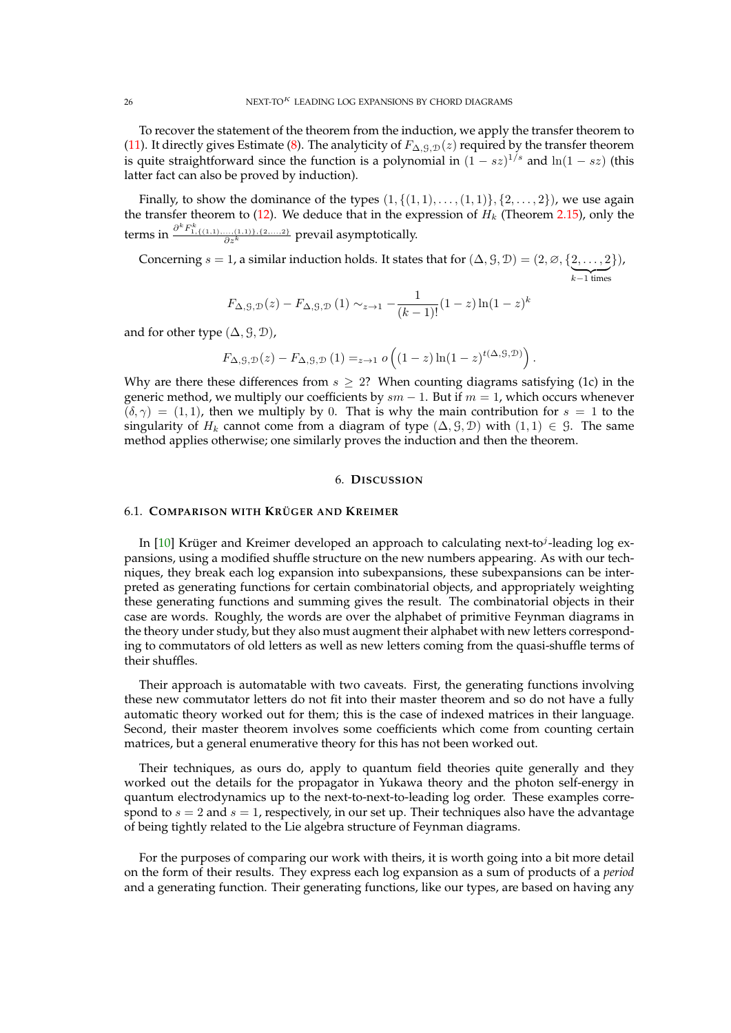To recover the statement of the theorem from the induction, we apply the transfer theorem to [\(11\)](#page-24-0). It directly gives Estimate [\(8\)](#page-22-0). The analyticity of  $F_{\Delta,\mathcal{G},\mathcal{D}}(z)$  required by the transfer theorem is quite straightforward since the function is a polynomial in  $(1 - sz)^{1/s}$  and  $\ln(1 - sz)$  (this latter fact can also be proved by induction).

Finally, to show the dominance of the types  $(1, \{(1, 1), \ldots, (1, 1)\}, \{2, \ldots, 2\})$ , we use again the transfer theorem to [\(12\)](#page-24-1). We deduce that in the expression of  $H_k$  (Theorem [2.15\)](#page-8-1), only the terms in  $\frac{\partial^k F^k_{1,\{(1,1),\ldots,(1,1)\},\{2,\ldots,2\}}}{\partial z^k}$  prevail asymptotically.

Concerning  $s = 1$ , a similar induction holds. It states that for  $(\Delta, \mathcal{G}, \mathcal{D}) = (2, \emptyset, \{2, \ldots, 2\})$  $k-1$  times }),

$$
F_{\Delta, \mathcal{G}, \mathcal{D}}(z) - F_{\Delta, \mathcal{G}, \mathcal{D}}(1) \sim_{z \to 1} -\frac{1}{(k-1)!} (1-z) \ln(1-z)^k
$$

and for other type  $(\Delta, \mathcal{G}, \mathcal{D})$ ,

$$
F_{\Delta,\mathcal{G},\mathcal{D}}(z) - F_{\Delta,\mathcal{G},\mathcal{D}}(1) =_{z \to 1} o\left((1-z)\ln(1-z)^{t(\Delta,\mathcal{G},\mathcal{D})}\right).
$$

Why are there these differences from  $s \geq 2$ ? When counting diagrams satisfying (1c) in the generic method, we multiply our coefficients by  $sm - 1$ . But if  $m = 1$ , which occurs whenever  $(\delta, \gamma) = (1, 1)$ , then we multiply by 0. That is why the main contribution for  $s = 1$  to the singularity of  $H_k$  cannot come from a diagram of type  $(\Delta, \mathcal{G}, \mathcal{D})$  with  $(1, 1) \in \mathcal{G}$ . The same method applies otherwise; one similarly proves the induction and then the theorem.

# 6. **DISCUSSION**

### <span id="page-25-0"></span>6.1. **COMPARISON WITH KRÜGER AND KREIMER**

In [\[10\]](#page-29-3) Krüger and Kreimer developed an approach to calculating next-to<sup>j</sup>-leading log expansions, using a modified shuffle structure on the new numbers appearing. As with our techniques, they break each log expansion into subexpansions, these subexpansions can be interpreted as generating functions for certain combinatorial objects, and appropriately weighting these generating functions and summing gives the result. The combinatorial objects in their case are words. Roughly, the words are over the alphabet of primitive Feynman diagrams in the theory under study, but they also must augment their alphabet with new letters corresponding to commutators of old letters as well as new letters coming from the quasi-shuffle terms of their shuffles.

Their approach is automatable with two caveats. First, the generating functions involving these new commutator letters do not fit into their master theorem and so do not have a fully automatic theory worked out for them; this is the case of indexed matrices in their language. Second, their master theorem involves some coefficients which come from counting certain matrices, but a general enumerative theory for this has not been worked out.

Their techniques, as ours do, apply to quantum field theories quite generally and they worked out the details for the propagator in Yukawa theory and the photon self-energy in quantum electrodynamics up to the next-to-next-to-leading log order. These examples correspond to  $s = 2$  and  $s = 1$ , respectively, in our set up. Their techniques also have the advantage of being tightly related to the Lie algebra structure of Feynman diagrams.

For the purposes of comparing our work with theirs, it is worth going into a bit more detail on the form of their results. They express each log expansion as a sum of products of a *period* and a generating function. Their generating functions, like our types, are based on having any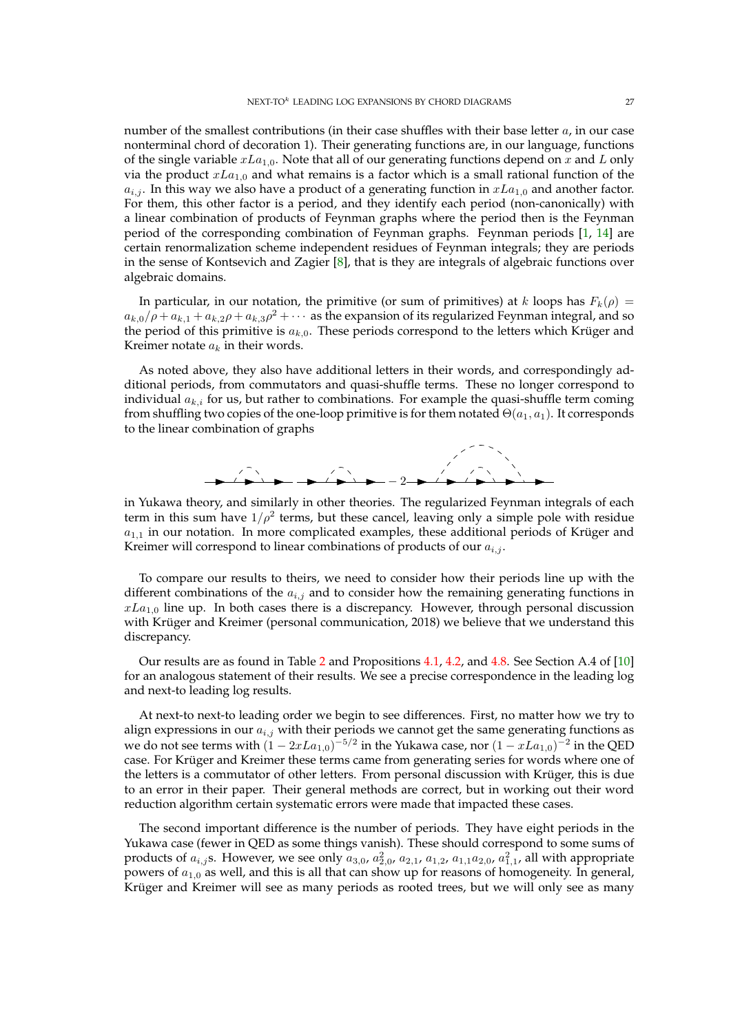number of the smallest contributions (in their case shuffles with their base letter  $a$ , in our case nonterminal chord of decoration 1). Their generating functions are, in our language, functions of the single variable  $xLa<sub>1,0</sub>$ . Note that all of our generating functions depend on x and L only via the product  $xLa_{1,0}$  and what remains is a factor which is a small rational function of the  $a_{i,j}$ . In this way we also have a product of a generating function in  $xLa_{1,0}$  and another factor. For them, this other factor is a period, and they identify each period (non-canonically) with a linear combination of products of Feynman graphs where the period then is the Feynman period of the corresponding combination of Feynman graphs. Feynman periods [\[1,](#page-29-7) [14\]](#page-30-2) are certain renormalization scheme independent residues of Feynman integrals; they are periods in the sense of Kontsevich and Zagier [\[8\]](#page-29-8), that is they are integrals of algebraic functions over algebraic domains.

In particular, in our notation, the primitive (or sum of primitives) at k loops has  $F_k(\rho) =$  $a_{k,0}/\rho + a_{k,1} + a_{k,2}\rho + a_{k,3}\rho^2 + \cdots$  as the expansion of its regularized Feynman integral, and so the period of this primitive is  $a_{k,0}$ . These periods correspond to the letters which Krüger and Kreimer notate  $a_k$  in their words.

As noted above, they also have additional letters in their words, and correspondingly additional periods, from commutators and quasi-shuffle terms. These no longer correspond to individual  $a_{k,i}$  for us, but rather to combinations. For example the quasi-shuffle term coming from shuffling two copies of the one-loop primitive is for them notated  $\Theta(a_1, a_1)$ . It corresponds to the linear combination of graphs



in Yukawa theory, and similarly in other theories. The regularized Feynman integrals of each term in this sum have  $1/\rho^2$  terms, but these cancel, leaving only a simple pole with residue  $a_{1,1}$  in our notation. In more complicated examples, these additional periods of Krüger and Kreimer will correspond to linear combinations of products of our  $a_{i,j}$ .

To compare our results to theirs, we need to consider how their periods line up with the different combinations of the  $a_{i,j}$  and to consider how the remaining generating functions in  $xLa<sub>1,0</sub>$  line up. In both cases there is a discrepancy. However, through personal discussion with Krüger and Kreimer (personal communication, 2018) we believe that we understand this discrepancy.

Our results are as found in Table [2](#page-21-2) and Propositions [4.1,](#page-14-0) [4.2,](#page-14-1) and [4.8.](#page-21-0) See Section A.4 of [\[10\]](#page-29-3) for an analogous statement of their results. We see a precise correspondence in the leading log and next-to leading log results.

At next-to next-to leading order we begin to see differences. First, no matter how we try to align expressions in our  $a_{i,j}$  with their periods we cannot get the same generating functions as we do not see terms with  $(1-2xLa_{1,0})^{-5/2}$  in the Yukawa case, nor  $(1-xLa_{1,0})^{-2}$  in the QED case. For Krüger and Kreimer these terms came from generating series for words where one of the letters is a commutator of other letters. From personal discussion with Krüger, this is due to an error in their paper. Their general methods are correct, but in working out their word reduction algorithm certain systematic errors were made that impacted these cases.

The second important difference is the number of periods. They have eight periods in the Yukawa case (fewer in QED as some things vanish). These should correspond to some sums of products of  $a_{i,j}$ s. However, we see only  $a_{3,0}$ ,  $a_{2,0}^2$ ,  $a_{2,1}$ ,  $a_{1,2}$ ,  $a_{1,1}a_{2,0}$ ,  $a_{1,1}^2$ , all with appropriate powers of  $a_{1,0}$  as well, and this is all that can show up for reasons of homogeneity. In general, Krüger and Kreimer will see as many periods as rooted trees, but we will only see as many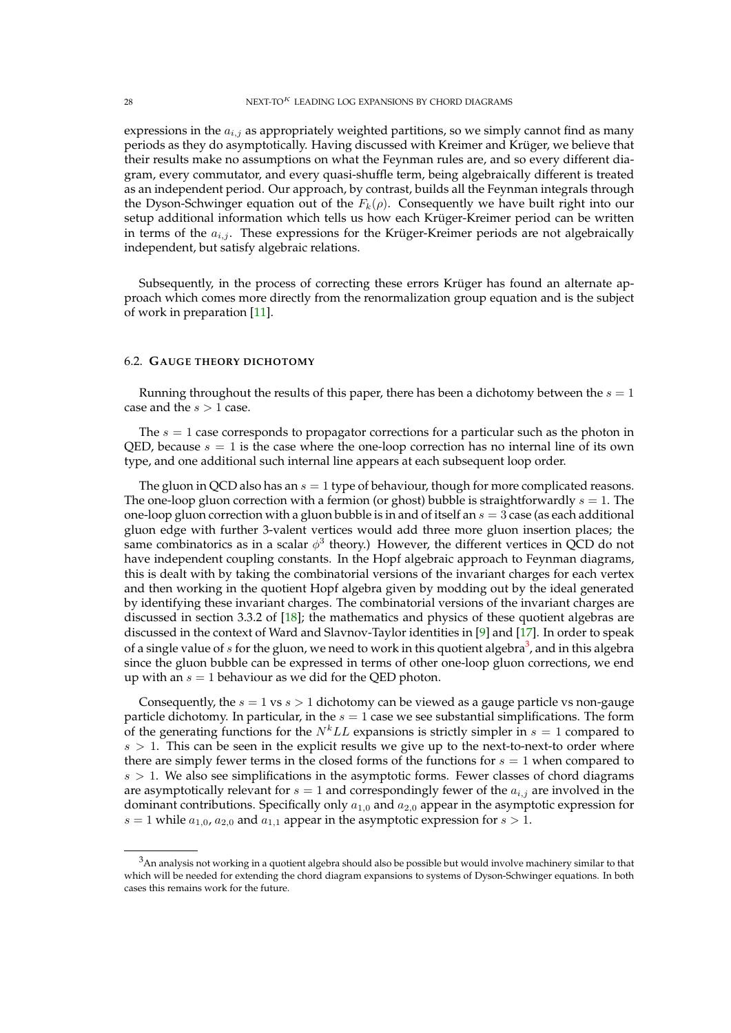expressions in the  $a_{i,j}$  as appropriately weighted partitions, so we simply cannot find as many periods as they do asymptotically. Having discussed with Kreimer and Krüger, we believe that their results make no assumptions on what the Feynman rules are, and so every different diagram, every commutator, and every quasi-shuffle term, being algebraically different is treated as an independent period. Our approach, by contrast, builds all the Feynman integrals through the Dyson-Schwinger equation out of the  $F_k(\rho)$ . Consequently we have built right into our setup additional information which tells us how each Krüger-Kreimer period can be written in terms of the  $a_{i,j}$ . These expressions for the Krüger-Kreimer periods are not algebraically independent, but satisfy algebraic relations.

Subsequently, in the process of correcting these errors Krüger has found an alternate approach which comes more directly from the renormalization group equation and is the subject of work in preparation [\[11\]](#page-29-9).

### 6.2. **GAUGE THEORY DICHOTOMY**

Running throughout the results of this paper, there has been a dichotomy between the  $s = 1$ case and the  $s > 1$  case.

The  $s = 1$  case corresponds to propagator corrections for a particular such as the photon in QED, because  $s = 1$  is the case where the one-loop correction has no internal line of its own type, and one additional such internal line appears at each subsequent loop order.

The gluon in QCD also has an  $s = 1$  type of behaviour, though for more complicated reasons. The one-loop gluon correction with a fermion (or ghost) bubble is straightforwardly  $s = 1$ . The one-loop gluon correction with a gluon bubble is in and of itself an  $s = 3$  case (as each additional gluon edge with further 3-valent vertices would add three more gluon insertion places; the same combinatorics as in a scalar  $\phi^3$  theory.) However, the different vertices in QCD do not have independent coupling constants. In the Hopf algebraic approach to Feynman diagrams, this is dealt with by taking the combinatorial versions of the invariant charges for each vertex and then working in the quotient Hopf algebra given by modding out by the ideal generated by identifying these invariant charges. The combinatorial versions of the invariant charges are discussed in section 3.3.2 of [\[18\]](#page-30-0); the mathematics and physics of these quotient algebras are discussed in the context of Ward and Slavnov-Taylor identities in [\[9\]](#page-29-10) and [\[17\]](#page-30-3). In order to speak of a single value of  $s$  for the gluon, we need to work in this quotient algebra<sup>[3](#page-27-0)</sup>, and in this algebra since the gluon bubble can be expressed in terms of other one-loop gluon corrections, we end up with an  $s = 1$  behaviour as we did for the QED photon.

Consequently, the  $s = 1$  vs  $s > 1$  dichotomy can be viewed as a gauge particle vs non-gauge particle dichotomy. In particular, in the  $s = 1$  case we see substantial simplifications. The form of the generating functions for the  $N<sup>k</sup>LL$  expansions is strictly simpler in  $s = 1$  compared to  $s > 1$ . This can be seen in the explicit results we give up to the next-to-next-to order where there are simply fewer terms in the closed forms of the functions for  $s = 1$  when compared to  $s > 1$ . We also see simplifications in the asymptotic forms. Fewer classes of chord diagrams are asymptotically relevant for  $s = 1$  and correspondingly fewer of the  $a_{i,j}$  are involved in the dominant contributions. Specifically only  $a_{1,0}$  and  $a_{2,0}$  appear in the asymptotic expression for  $s = 1$  while  $a_{1,0}$ ,  $a_{2,0}$  and  $a_{1,1}$  appear in the asymptotic expression for  $s > 1$ .

<span id="page-27-0"></span> $3$ An analysis not working in a quotient algebra should also be possible but would involve machinery similar to that which will be needed for extending the chord diagram expansions to systems of Dyson-Schwinger equations. In both cases this remains work for the future.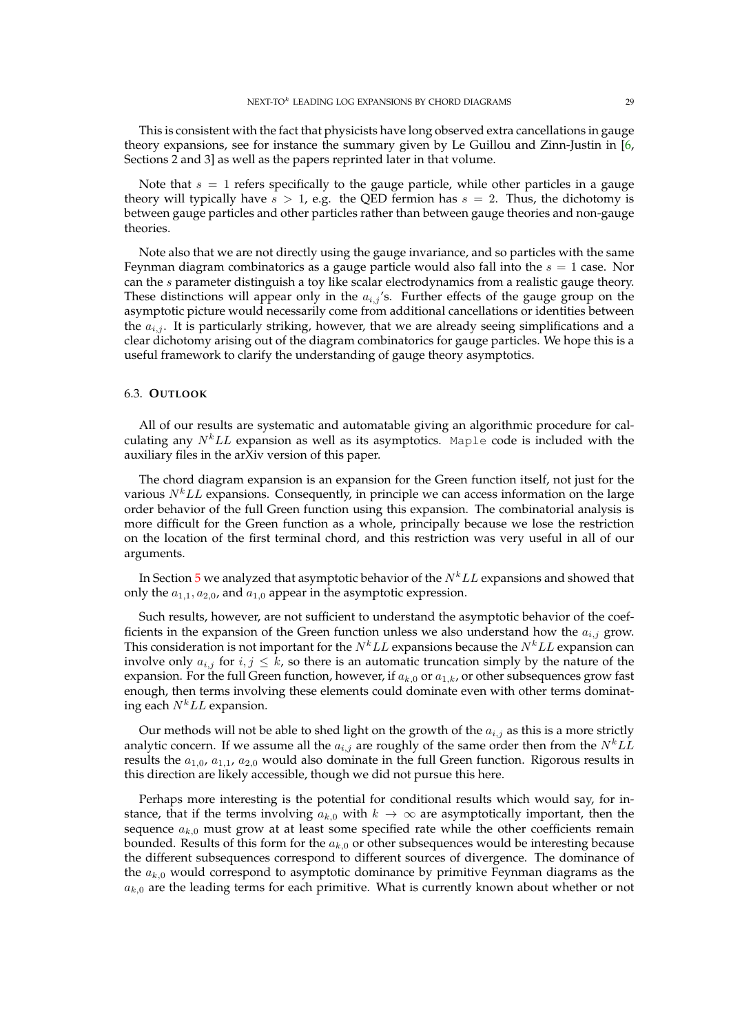This is consistent with the fact that physicists have long observed extra cancellations in gauge theory expansions, see for instance the summary given by Le Guillou and Zinn-Justin in [\[6,](#page-29-11) Sections 2 and 3] as well as the papers reprinted later in that volume.

Note that  $s = 1$  refers specifically to the gauge particle, while other particles in a gauge theory will typically have  $s > 1$ , e.g. the QED fermion has  $s = 2$ . Thus, the dichotomy is between gauge particles and other particles rather than between gauge theories and non-gauge theories.

Note also that we are not directly using the gauge invariance, and so particles with the same Feynman diagram combinatorics as a gauge particle would also fall into the  $s = 1$  case. Nor can the s parameter distinguish a toy like scalar electrodynamics from a realistic gauge theory. These distinctions will appear only in the  $a_{i,j}$ 's. Further effects of the gauge group on the asymptotic picture would necessarily come from additional cancellations or identities between the  $a_{i,j}$ . It is particularly striking, however, that we are already seeing simplifications and a clear dichotomy arising out of the diagram combinatorics for gauge particles. We hope this is a useful framework to clarify the understanding of gauge theory asymptotics.

### <span id="page-28-0"></span>6.3. **OUTLOOK**

All of our results are systematic and automatable giving an algorithmic procedure for calculating any  $N^kLL$  expansion as well as its asymptotics. Maple code is included with the auxiliary files in the arXiv version of this paper.

The chord diagram expansion is an expansion for the Green function itself, not just for the various  $N^kLL$  expansions. Consequently, in principle we can access information on the large order behavior of the full Green function using this expansion. The combinatorial analysis is more difficult for the Green function as a whole, principally because we lose the restriction on the location of the first terminal chord, and this restriction was very useful in all of our arguments.

In Section [5](#page-22-3) we analyzed that asymptotic behavior of the  $N^kLL$  expansions and showed that only the  $a_{1,1}, a_{2,0}$ , and  $a_{1,0}$  appear in the asymptotic expression.

Such results, however, are not sufficient to understand the asymptotic behavior of the coefficients in the expansion of the Green function unless we also understand how the  $a_{i,j}$  grow. This consideration is not important for the  $N^kLL$  expansions because the  $N^kLL$  expansion can involve only  $a_{i,j}$  for  $i, j \leq k$ , so there is an automatic truncation simply by the nature of the expansion. For the full Green function, however, if  $a_{k,0}$  or  $a_{1,k}$ , or other subsequences grow fast enough, then terms involving these elements could dominate even with other terms dominating each  $N^kLL$  expansion.

Our methods will not be able to shed light on the growth of the  $a_{i,j}$  as this is a more strictly analytic concern. If we assume all the  $a_{i,j}$  are roughly of the same order then from the  $N<sup>k</sup>LL$ results the  $a_{1,0}$ ,  $a_{1,1}$ ,  $a_{2,0}$  would also dominate in the full Green function. Rigorous results in this direction are likely accessible, though we did not pursue this here.

Perhaps more interesting is the potential for conditional results which would say, for instance, that if the terms involving  $a_{k,0}$  with  $k \to \infty$  are asymptotically important, then the sequence  $a_{k,0}$  must grow at at least some specified rate while the other coefficients remain bounded. Results of this form for the  $a_{k,0}$  or other subsequences would be interesting because the different subsequences correspond to different sources of divergence. The dominance of the  $a_{k,0}$  would correspond to asymptotic dominance by primitive Feynman diagrams as the  $a_{k,0}$  are the leading terms for each primitive. What is currently known about whether or not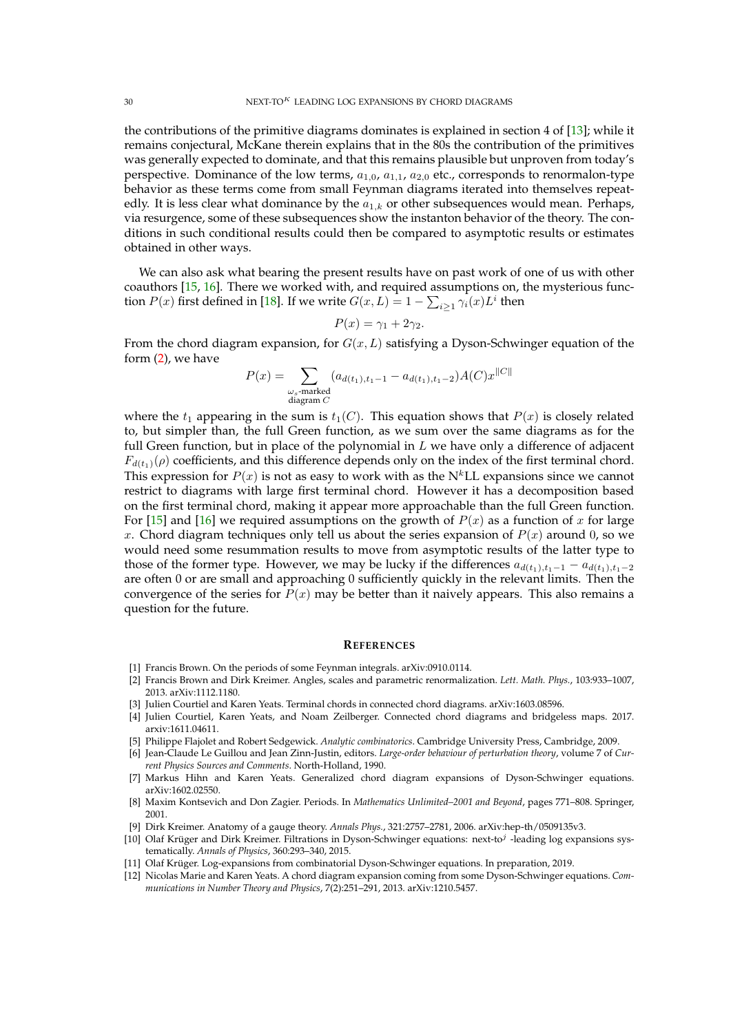the contributions of the primitive diagrams dominates is explained in section 4 of [\[13\]](#page-30-4); while it remains conjectural, McKane therein explains that in the 80s the contribution of the primitives was generally expected to dominate, and that this remains plausible but unproven from today's perspective. Dominance of the low terms,  $a_{1,0}$ ,  $a_{1,1}$ ,  $a_{2,0}$  etc., corresponds to renormalon-type behavior as these terms come from small Feynman diagrams iterated into themselves repeatedly. It is less clear what dominance by the  $a_{1,k}$  or other subsequences would mean. Perhaps, via resurgence, some of these subsequences show the instanton behavior of the theory. The conditions in such conditional results could then be compared to asymptotic results or estimates obtained in other ways.

We can also ask what bearing the present results have on past work of one of us with other coauthors [\[15,](#page-30-5) [16\]](#page-30-6). There we worked with, and required assumptions on, the mysterious function  $P(x)$  first defined in [\[18\]](#page-30-0). If we write  $G(x, L) = 1 - \sum_{i \geq 1} \gamma_i(x) L^i$  then

$$
P(x) = \gamma_1 + 2\gamma_2.
$$

From the chord diagram expansion, for  $G(x, L)$  satisfying a Dyson-Schwinger equation of the form [\(2\)](#page-6-5), we have

$$
P(x) = \sum_{\substack{\omega_s-\text{marked} \\ \text{diagram } C}} (a_{d(t_1),t_1-1} - a_{d(t_1),t_1-2})A(C)x^{\|C\|}
$$

where the  $t_1$  appearing in the sum is  $t_1(C)$ . This equation shows that  $P(x)$  is closely related to, but simpler than, the full Green function, as we sum over the same diagrams as for the full Green function, but in place of the polynomial in  $L$  we have only a difference of adjacent  $F_{d(t_1)}(\rho)$  coefficients, and this difference depends only on the index of the first terminal chord. This expression for  $P(x)$  is not as easy to work with as the N<sup>k</sup>LL expansions since we cannot restrict to diagrams with large first terminal chord. However it has a decomposition based on the first terminal chord, making it appear more approachable than the full Green function. For [\[15\]](#page-30-5) and [\[16\]](#page-30-6) we required assumptions on the growth of  $P(x)$  as a function of x for large x. Chord diagram techniques only tell us about the series expansion of  $P(x)$  around 0, so we would need some resummation results to move from asymptotic results of the latter type to those of the former type. However, we may be lucky if the differences  $a_{d(t_1),t_1-1} - a_{d(t_1),t_1-2}$ are often 0 or are small and approaching 0 sufficiently quickly in the relevant limits. Then the convergence of the series for  $P(x)$  may be better than it naively appears. This also remains a question for the future.

#### **REFERENCES**

- <span id="page-29-7"></span>[1] Francis Brown. On the periods of some Feynman integrals. arXiv:0910.0114.
- <span id="page-29-4"></span>[2] Francis Brown and Dirk Kreimer. Angles, scales and parametric renormalization. *Lett. Math. Phys.*, 103:933–1007, 2013. arXiv:1112.1180.
- <span id="page-29-1"></span>[3] Julien Courtiel and Karen Yeats. Terminal chords in connected chord diagrams. arXiv:1603.08596.
- <span id="page-29-5"></span>[4] Julien Courtiel, Karen Yeats, and Noam Zeilberger. Connected chord diagrams and bridgeless maps. 2017. arxiv:1611.04611.
- <span id="page-29-6"></span>[5] Philippe Flajolet and Robert Sedgewick. *Analytic combinatorics*. Cambridge University Press, Cambridge, 2009.
- <span id="page-29-11"></span>[6] Jean-Claude Le Guillou and Jean Zinn-Justin, editors. *Large-order behaviour of perturbation theory*, volume 7 of *Current Physics Sources and Comments*. North-Holland, 1990.
- <span id="page-29-2"></span>[7] Markus Hihn and Karen Yeats. Generalized chord diagram expansions of Dyson-Schwinger equations. arXiv:1602.02550.
- <span id="page-29-8"></span>[8] Maxim Kontsevich and Don Zagier. Periods. In *Mathematics Unlimited–2001 and Beyond*, pages 771–808. Springer, 2001.
- <span id="page-29-10"></span>[9] Dirk Kreimer. Anatomy of a gauge theory. *Annals Phys.*, 321:2757–2781, 2006. arXiv:hep-th/0509135v3.
- <span id="page-29-3"></span>[10] Olaf Krüger and Dirk Kreimer. Filtrations in Dyson-Schwinger equations: next-to<sup>j</sup> -leading log expansions systematically. *Annals of Physics*, 360:293–340, 2015.
- <span id="page-29-9"></span>[11] Olaf Krüger. Log-expansions from combinatorial Dyson-Schwinger equations. In preparation, 2019.
- <span id="page-29-0"></span>[12] Nicolas Marie and Karen Yeats. A chord diagram expansion coming from some Dyson-Schwinger equations. *Communications in Number Theory and Physics*, 7(2):251–291, 2013. arXiv:1210.5457.